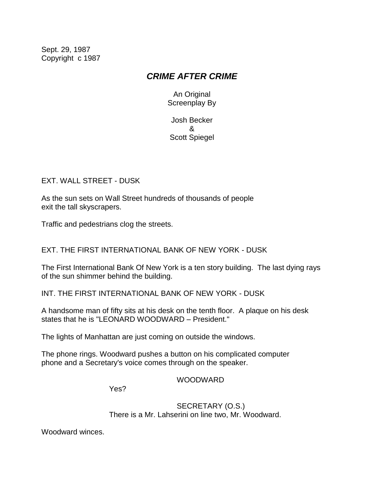Sept. 29, 1987 Copyright c 1987

# *CRIME AFTER CRIME*

An Original Screenplay By

Josh Becker & Scott Spiegel

EXT. WALL STREET - DUSK

As the sun sets on Wall Street hundreds of thousands of people exit the tall skyscrapers.

Traffic and pedestrians clog the streets.

EXT. THE FIRST INTERNATIONAL BANK OF NEW YORK - DUSK

The First International Bank Of New York is a ten story building. The last dying rays of the sun shimmer behind the building.

INT. THE FIRST INTERNATIONAL BANK OF NEW YORK - DUSK

A handsome man of fifty sits at his desk on the tenth floor. A plaque on his desk states that he is "LEONARD WOODWARD – President."

The lights of Manhattan are just coming on outside the windows.

The phone rings. Woodward pushes a button on his complicated computer phone and a Secretary's voice comes through on the speaker.

WOODWARD

Yes?

SECRETARY (O.S.) There is a Mr. Lahserini on line two, Mr. Woodward.

Woodward winces.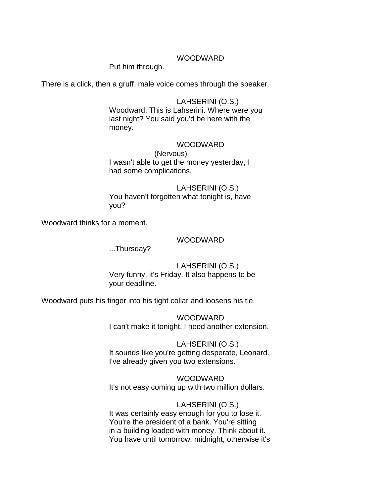#### WOODWARD

Put him through.

There is a click, then a gruff, male voice comes through the speaker.

#### LAHSERINI (O.S.)

Woodward. This is Lahserini. Where were you last night? You said you'd be here with the money.

## WOODWARD

(Nervous) I wasn't able to get the money yesterday, I had some complications.

# LAHSERINI (O.S.)

You haven't forgotten what tonight is, have you?

Woodward thinks for a moment.

#### WOODWARD

...Thursday?

#### LAHSERINI (O.S.)

Very funny, it's Friday. It also happens to be your deadline.

Woodward puts his finger into his tight collar and loosens his tie.

WOODWARD I can't make it tonight. I need another extension.

LAHSERINI (O.S.) It sounds like you're getting desperate, Leonard. I've already given you two extensions.

WOODWARD It's not easy coming up with two million dollars.

#### LAHSERINI (O.S.)

It was certainly easy enough for you to lose it. You're the president of a bank. You're sitting in a building loaded with money. Think about it. You have until tomorrow, midnight, otherwise it's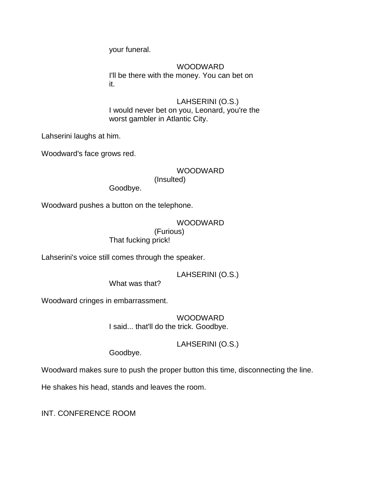your funeral.

WOODWARD I'll be there with the money. You can bet on it.

LAHSERINI (O.S.) I would never bet on you, Leonard, you're the worst gambler in Atlantic City.

Lahserini laughs at him.

Woodward's face grows red.

## WOODWARD

(Insulted)

Goodbye.

Woodward pushes a button on the telephone.

WOODWARD (Furious) That fucking prick!

Lahserini's voice still comes through the speaker.

LAHSERINI (O.S.)

What was that?

Woodward cringes in embarrassment.

WOODWARD I said... that'll do the trick. Goodbye.

LAHSERINI (O.S.)

Goodbye.

Woodward makes sure to push the proper button this time, disconnecting the line.

He shakes his head, stands and leaves the room.

INT. CONFERENCE ROOM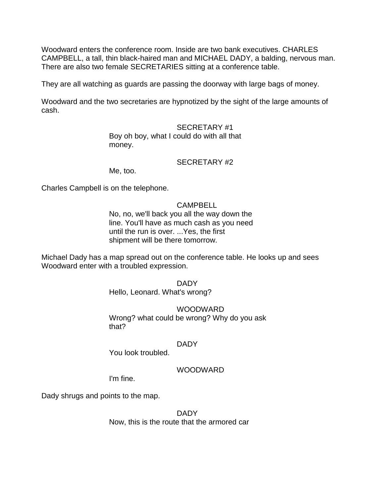Woodward enters the conference room. Inside are two bank executives. CHARLES CAMPBELL, a tall, thin black-haired man and MICHAEL DADY, a balding, nervous man. There are also two female SECRETARIES sitting at a conference table.

They are all watching as guards are passing the doorway with large bags of money.

Woodward and the two secretaries are hypnotized by the sight of the large amounts of cash.

#### SECRETARY #1

Boy oh boy, what I could do with all that money.

#### SECRETARY #2

Me, too.

Charles Campbell is on the telephone.

#### CAMPBELL

No, no, we'll back you all the way down the line. You'll have as much cash as you need until the run is over. ...Yes, the first shipment will be there tomorrow.

Michael Dady has a map spread out on the conference table. He looks up and sees Woodward enter with a troubled expression.

DADY

Hello, Leonard. What's wrong?

#### WOODWARD

Wrong? what could be wrong? Why do you ask that?

#### DADY

You look troubled.

#### WOODWARD

I'm fine.

Dady shrugs and points to the map.

DADY Now, this is the route that the armored car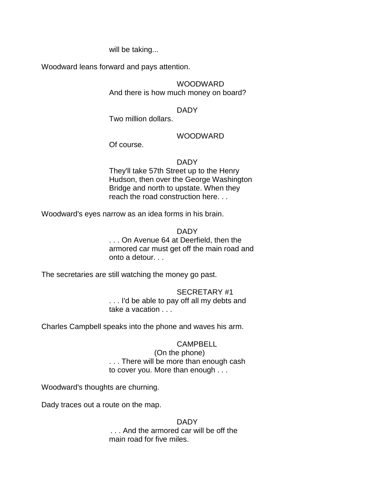will be taking...

Woodward leans forward and pays attention.

## WOODWARD

And there is how much money on board?

#### DADY

Two million dollars.

## WOODWARD

Of course.

#### DADY

They'll take 57th Street up to the Henry Hudson, then over the George Washington Bridge and north to upstate. When they reach the road construction here. . .

Woodward's eyes narrow as an idea forms in his brain.

DADY

. . . On Avenue 64 at Deerfield, then the armored car must get off the main road and onto a detour. . .

The secretaries are still watching the money go past.

## SECRETARY #1

. . . I'd be able to pay off all my debts and take a vacation . . .

Charles Campbell speaks into the phone and waves his arm.

#### CAMPBELL

(On the phone) . . . There will be more than enough cash to cover you. More than enough . . .

Woodward's thoughts are churning.

Dady traces out a route on the map.

 DADY . . . And the armored car will be off the main road for five miles.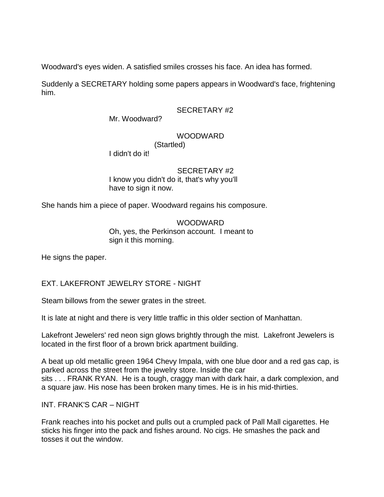Woodward's eyes widen. A satisfied smiles crosses his face. An idea has formed.

Suddenly a SECRETARY holding some papers appears in Woodward's face, frightening him.

#### SECRETARY #2

Mr. Woodward?

## WOODWARD

(Startled)

I didn't do it!

#### SECRETARY #2

I know you didn't do it, that's why you'll have to sign it now.

She hands him a piece of paper. Woodward regains his composure.

#### WOODWARD Oh, yes, the Perkinson account. I meant to sign it this morning.

He signs the paper.

## EXT. LAKEFRONT JEWELRY STORE - NIGHT

Steam billows from the sewer grates in the street.

It is late at night and there is very little traffic in this older section of Manhattan.

Lakefront Jewelers' red neon sign glows brightly through the mist. Lakefront Jewelers is located in the first floor of a brown brick apartment building.

A beat up old metallic green 1964 Chevy Impala, with one blue door and a red gas cap, is parked across the street from the jewelry store. Inside the car sits . . . FRANK RYAN. He is a tough, craggy man with dark hair, a dark complexion, and a square jaw. His nose has been broken many times. He is in his mid-thirties.

INT. FRANK'S CAR – NIGHT

Frank reaches into his pocket and pulls out a crumpled pack of Pall Mall cigarettes. He sticks his finger into the pack and fishes around. No cigs. He smashes the pack and tosses it out the window.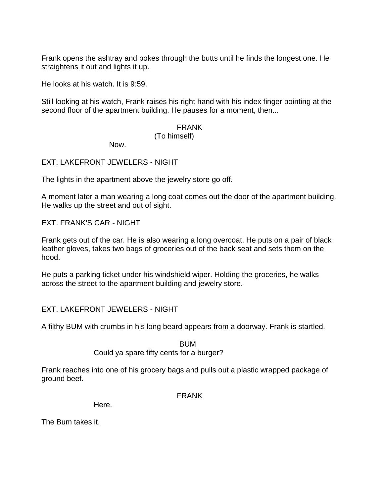Frank opens the ashtray and pokes through the butts until he finds the longest one. He straightens it out and lights it up.

He looks at his watch. It is 9:59.

Still looking at his watch, Frank raises his right hand with his index finger pointing at the second floor of the apartment building. He pauses for a moment, then...

#### FRANK

#### (To himself)

Now.

EXT. LAKEFRONT JEWELERS - NIGHT

The lights in the apartment above the jewelry store go off.

A moment later a man wearing a long coat comes out the door of the apartment building. He walks up the street and out of sight.

EXT. FRANK'S CAR - NIGHT

Frank gets out of the car. He is also wearing a long overcoat. He puts on a pair of black leather gloves, takes two bags of groceries out of the back seat and sets them on the hood.

He puts a parking ticket under his windshield wiper. Holding the groceries, he walks across the street to the apartment building and jewelry store.

EXT. LAKEFRONT JEWELERS - NIGHT

A filthy BUM with crumbs in his long beard appears from a doorway. Frank is startled.

**BUM** 

Could ya spare fifty cents for a burger?

Frank reaches into one of his grocery bags and pulls out a plastic wrapped package of ground beef.

FRANK

Here.

The Bum takes it.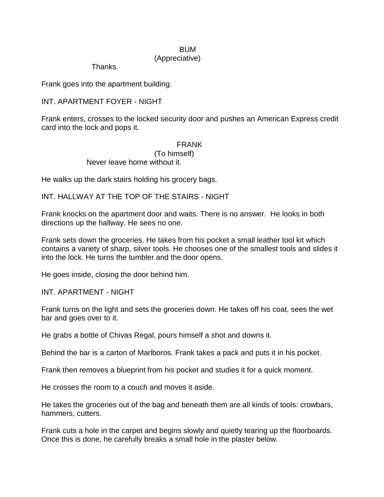# **BUM**

## (Appreciative)

Thanks.

Frank goes into the apartment building.

## INT. APARTMENT FOYER - NIGHT

Frank enters, crosses to the locked security door and pushes an American Express credit card into the lock and pops it.

#### FRANK

(To himself) Never leave home without it.

He walks up the dark stairs holding his grocery bags.

INT. HALLWAY AT THE TOP OF THE STAIRS - NIGHT

Frank knocks on the apartment door and waits. There is no answer. He looks in both directions up the hallway. He sees no one.

Frank sets down the groceries. He takes from his pocket a small leather tool kit which contains a variety of sharp, silver tools. He chooses one of the smallest tools and slides it into the lock. He turns the tumbler and the door opens.

He goes inside, closing the door behind him.

INT. APARTMENT - NIGHT

Frank turns on the light and sets the groceries down. He takes off his coat, sees the wet bar and goes over to it.

He grabs a bottle of Chivas Regal, pours himself a shot and downs it.

Behind the bar is a carton of Marlboros. Frank takes a pack and puts it in his pocket.

Frank then removes a blueprint from his pocket and studies it for a quick moment.

He crosses the room to a couch and moves it aside.

He takes the groceries out of the bag and beneath them are all kinds of tools: crowbars, hammers, cutters.

Frank cuts a hole in the carpet and begins slowly and quietly tearing up the floorboards. Once this is done, he carefully breaks a small hole in the plaster below.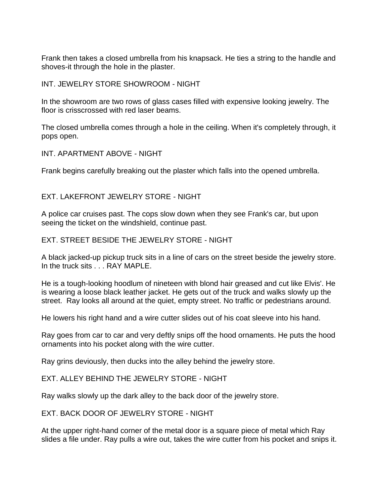Frank then takes a closed umbrella from his knapsack. He ties a string to the handle and shoves-it through the hole in the plaster.

INT. JEWELRY STORE SHOWROOM - NIGHT

In the showroom are two rows of glass cases filled with expensive looking jewelry. The floor is crisscrossed with red laser beams.

The closed umbrella comes through a hole in the ceiling. When it's completely through, it pops open.

INT. APARTMENT ABOVE - NIGHT

Frank begins carefully breaking out the plaster which falls into the opened umbrella.

EXT. LAKEFRONT JEWELRY STORE - NIGHT

A police car cruises past. The cops slow down when they see Frank's car, but upon seeing the ticket on the windshield, continue past.

EXT. STREET BESIDE THE JEWELRY STORE - NIGHT

A black jacked-up pickup truck sits in a line of cars on the street beside the jewelry store. In the truck sits . . . RAY MAPLE.

He is a tough-looking hoodlum of nineteen with blond hair greased and cut like Elvis'. He is wearing a loose black leather jacket. He gets out of the truck and walks slowly up the street. Ray looks all around at the quiet, empty street. No traffic or pedestrians around.

He lowers his right hand and a wire cutter slides out of his coat sleeve into his hand.

Ray goes from car to car and very deftly snips off the hood ornaments. He puts the hood ornaments into his pocket along with the wire cutter.

Ray grins deviously, then ducks into the alley behind the jewelry store.

EXT. ALLEY BEHIND THE JEWELRY STORE - NIGHT

Ray walks slowly up the dark alley to the back door of the jewelry store.

EXT. BACK DOOR OF JEWELRY STORE - NIGHT

At the upper right-hand corner of the metal door is a square piece of metal which Ray slides a file under. Ray pulls a wire out, takes the wire cutter from his pocket and snips it.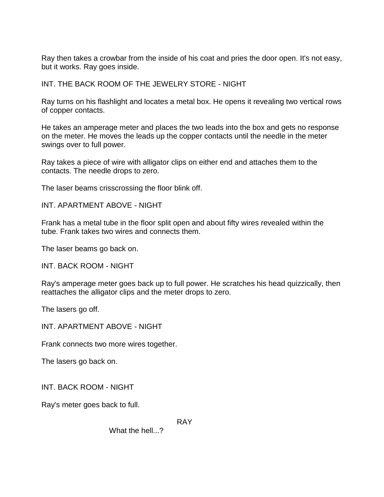Ray then takes a crowbar from the inside of his coat and pries the door open. It's not easy, but it works. Ray goes inside.

INT. THE BACK ROOM OF THE JEWELRY STORE - NIGHT

Ray turns on his flashlight and locates a metal box. He opens it revealing two vertical rows of copper contacts.

He takes an amperage meter and places the two leads into the box and gets no response on the meter. He moves the leads up the copper contacts until the needle in the meter swings over to full power.

Ray takes a piece of wire with alligator clips on either end and attaches them to the contacts. The needle drops to zero.

The laser beams crisscrossing the floor blink off.

INT. APARTMENT ABOVE - NIGHT

Frank has a metal tube in the floor split open and about fifty wires revealed within the tube. Frank takes two wires and connects them.

The laser beams go back on.

INT. BACK ROOM - NIGHT

Ray's amperage meter goes back up to full power. He scratches his head quizzically, then reattaches the alligator clips and the meter drops to zero.

The lasers go off.

INT. APARTMENT ABOVE - NIGHT

Frank connects two more wires together.

The lasers go back on.

INT. BACK ROOM - NIGHT

Ray's meter goes back to full.

RAY

What the hell...?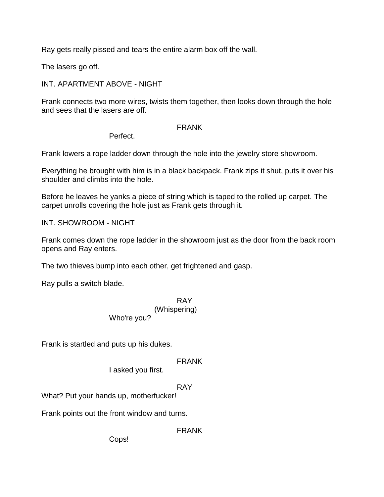Ray gets really pissed and tears the entire alarm box off the wall.

The lasers go off.

## INT. APARTMENT ABOVE - NIGHT

Frank connects two more wires, twists them together, then looks down through the hole and sees that the lasers are off.

#### FRANK

Perfect.

Frank lowers a rope ladder down through the hole into the jewelry store showroom.

Everything he brought with him is in a black backpack. Frank zips it shut, puts it over his shoulder and climbs into the hole.

Before he leaves he yanks a piece of string which is taped to the rolled up carpet. The carpet unrolls covering the hole just as Frank gets through it.

INT. SHOWROOM - NIGHT

Frank comes down the rope ladder in the showroom just as the door from the back room opens and Ray enters.

The two thieves bump into each other, get frightened and gasp.

Ray pulls a switch blade.

#### RAY (Whispering) Who're you?

Frank is startled and puts up his dukes.

## FRANK

I asked you first.

## RAY

What? Put your hands up, motherfucker!

Frank points out the front window and turns.

FRANK

Cops!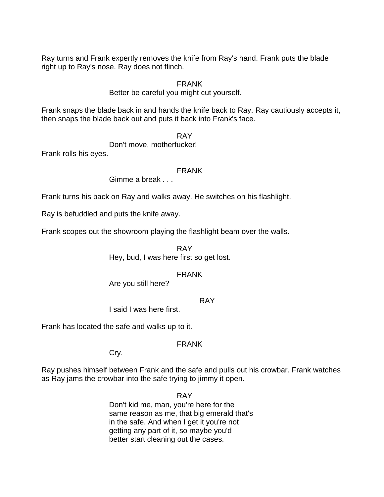Ray turns and Frank expertly removes the knife from Ray's hand. Frank puts the blade right up to Ray's nose. Ray does not flinch.

#### FRANK

Better be careful you might cut yourself.

Frank snaps the blade back in and hands the knife back to Ray. Ray cautiously accepts it, then snaps the blade back out and puts it back into Frank's face.

RAY

Don't move, motherfucker!

Frank rolls his eyes.

#### FRANK

Gimme a break . . .

Frank turns his back on Ray and walks away. He switches on his flashlight.

Ray is befuddled and puts the knife away.

Frank scopes out the showroom playing the flashlight beam over the walls.

RAY Hey, bud, I was here first so get lost.

## FRANK

Are you still here?

RAY

I said I was here first.

Frank has located the safe and walks up to it.

#### FRANK

Cry.

Ray pushes himself between Frank and the safe and pulls out his crowbar. Frank watches as Ray jams the crowbar into the safe trying to jimmy it open.

> RAY Don't kid me, man, you're here for the same reason as me, that big emerald that's in the safe. And when I get it you're not getting any part of it, so maybe you'd better start cleaning out the cases.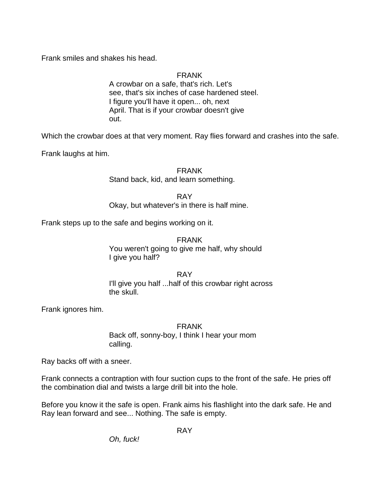Frank smiles and shakes his head.

FRANK

A crowbar on a safe, that's rich. Let's see, that's six inches of case hardened steel. I figure you'll have it open... oh, next April. That is if your crowbar doesn't give out.

Which the crowbar does at that very moment. Ray flies forward and crashes into the safe.

Frank laughs at him.

FRANK

Stand back, kid, and learn something.

RAY

Okay, but whatever's in there is half mine.

Frank steps up to the safe and begins working on it.

FRANK You weren't going to give me half, why should I give you half?

RAY I'll give you half ...half of this crowbar right across the skull.

Frank ignores him.

FRANK Back off, sonny-boy, I think I hear your mom calling.

Ray backs off with a sneer.

Frank connects a contraption with four suction cups to the front of the safe. He pries off the combination dial and twists a large drill bit into the hole.

Before you know it the safe is open. Frank aims his flashlight into the dark safe. He and Ray lean forward and see... Nothing. The safe is empty.

RAY

*Oh, fuck!*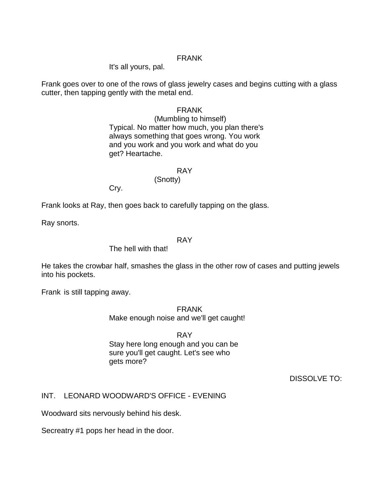#### FRANK

It's all yours, pal.

Frank goes over to one of the rows of glass jewelry cases and begins cutting with a glass cutter, then tapping gently with the metal end.

#### FRANK

(Mumbling to himself) Typical. No matter how much, you plan there's always something that goes wrong. You work and you work and you work and what do you get? Heartache.

#### RAY

#### (Snotty)

Cry.

Frank looks at Ray, then goes back to carefully tapping on the glass.

Ray snorts.

#### RAY

#### The hell with that!

He takes the crowbar half, smashes the glass in the other row of cases and putting jewels into his pockets.

Frank is still tapping away.

FRANK Make enough noise and we'll get caught!

RAY Stay here long enough and you can be sure you'll get caught. Let's see who gets more?

DISSOLVE TO:

#### INT. LEONARD WOODWARD'S OFFICE - EVENING

Woodward sits nervously behind his desk.

Secreatry #1 pops her head in the door.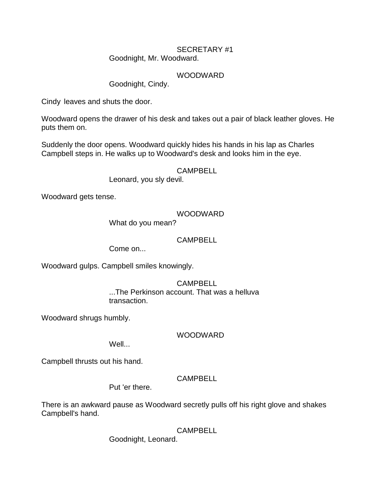#### SECRETARY #1 Goodnight, Mr. Woodward.

#### WOODWARD

Goodnight, Cindy.

Cindy leaves and shuts the door.

Woodward opens the drawer of his desk and takes out a pair of black leather gloves. He puts them on.

Suddenly the door opens. Woodward quickly hides his hands in his lap as Charles Campbell steps in. He walks up to Woodward's desk and looks him in the eye.

#### CAMPBELL

Leonard, you sly devil.

Woodward gets tense.

## WOODWARD

What do you mean?

## CAMPBELL

Come on...

Woodward gulps. Campbell smiles knowingly.

#### CAMPBELL ...The Perkinson account. That was a helluva transaction.

Woodward shrugs humbly.

## WOODWARD

Well...

Campbell thrusts out his hand.

## CAMPBELL

Put 'er there.

There is an awkward pause as Woodward secretly pulls off his right glove and shakes Campbell's hand.

CAMPBELL

Goodnight, Leonard.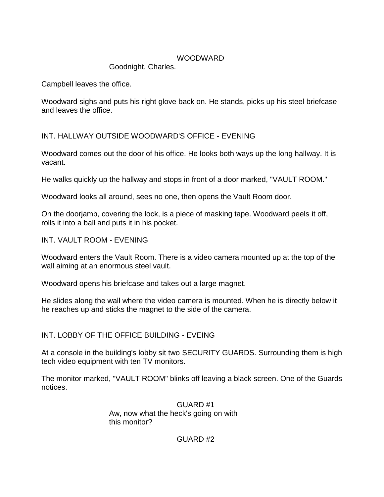## WOODWARD

Goodnight, Charles.

Campbell leaves the office.

Woodward sighs and puts his right glove back on. He stands, picks up his steel briefcase and leaves the office.

INT. HALLWAY OUTSIDE WOODWARD'S OFFICE - EVENING

Woodward comes out the door of his office. He looks both ways up the long hallway. It is vacant.

He walks quickly up the hallway and stops in front of a door marked, "VAULT ROOM."

Woodward looks all around, sees no one, then opens the Vault Room door.

On the doorjamb, covering the lock, is a piece of masking tape. Woodward peels it off, rolls it into a ball and puts it in his pocket.

INT. VAULT ROOM - EVENING

Woodward enters the Vault Room. There is a video camera mounted up at the top of the wall aiming at an enormous steel vault.

Woodward opens his briefcase and takes out a large magnet.

He slides along the wall where the video camera is mounted. When he is directly below it he reaches up and sticks the magnet to the side of the camera.

# INT. LOBBY OF THE OFFICE BUILDING - EVEING

At a console in the building's lobby sit two SECURITY GUARDS. Surrounding them is high tech video equipment with ten TV monitors.

The monitor marked, "VAULT ROOM" blinks off leaving a black screen. One of the Guards notices.

> GUARD #1 Aw, now what the heck's going on with this monitor?

> > GUARD #2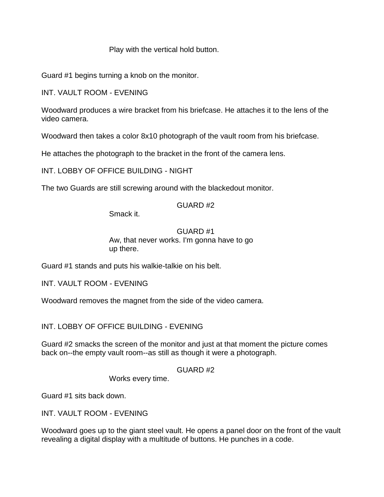## Play with the vertical hold button.

Guard #1 begins turning a knob on the monitor.

INT. VAULT ROOM - EVENING

Woodward produces a wire bracket from his briefcase. He attaches it to the lens of the video camera.

Woodward then takes a color 8x10 photograph of the vault room from his briefcase.

He attaches the photograph to the bracket in the front of the camera lens.

INT. LOBBY OF OFFICE BUILDING - NIGHT

The two Guards are still screwing around with the blackedout monitor.

## GUARD #2

Smack it.

## GUARD #1 Aw, that never works. I'm gonna have to go up there.

Guard #1 stands and puts his walkie-talkie on his belt.

INT. VAULT ROOM - EVENING

Woodward removes the magnet from the side of the video camera.

INT. LOBBY OF OFFICE BUILDING - EVENING

Guard #2 smacks the screen of the monitor and just at that moment the picture comes back on--the empty vault room--as still as though it were a photograph.

## GUARD #2

Works every time.

Guard #1 sits back down.

INT. VAULT ROOM - EVENING

Woodward goes up to the giant steel vault. He opens a panel door on the front of the vault revealing a digital display with a multitude of buttons. He punches in a code.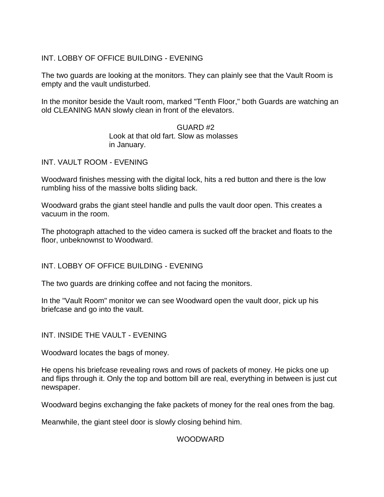INT. LOBBY OF OFFICE BUILDING - EVENING

The two guards are looking at the monitors. They can plainly see that the Vault Room is empty and the vault undisturbed.

In the monitor beside the Vault room, marked "Tenth Floor," both Guards are watching an old CLEANING MAN slowly clean in front of the elevators.

> GUARD #2 Look at that old fart. Slow as molasses in January.

INT. VAULT ROOM - EVENING

Woodward finishes messing with the digital lock, hits a red button and there is the low rumbling hiss of the massive bolts sliding back.

Woodward grabs the giant steel handle and pulls the vault door open. This creates a vacuum in the room.

The photograph attached to the video camera is sucked off the bracket and floats to the floor, unbeknownst to Woodward.

INT. LOBBY OF OFFICE BUILDING - EVENING

The two guards are drinking coffee and not facing the monitors.

In the "Vault Room" monitor we can see Woodward open the vault door, pick up his briefcase and go into the vault.

INT. INSIDE THE VAULT - EVENING

Woodward locates the bags of money.

He opens his briefcase revealing rows and rows of packets of money. He picks one up and flips through it. Only the top and bottom bill are real, everything in between is just cut newspaper.

Woodward begins exchanging the fake packets of money for the real ones from the bag.

Meanwhile, the giant steel door is slowly closing behind him.

## WOODWARD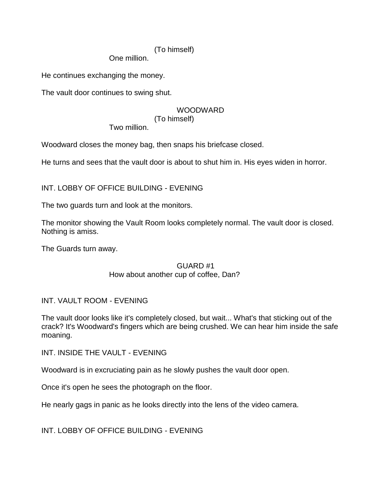## (To himself)

One million.

He continues exchanging the money.

The vault door continues to swing shut.

## WOODWARD

(To himself)

Two million.

Woodward closes the money bag, then snaps his briefcase closed.

He turns and sees that the vault door is about to shut him in. His eyes widen in horror.

INT. LOBBY OF OFFICE BUILDING - EVENING

The two guards turn and look at the monitors.

The monitor showing the Vault Room looks completely normal. The vault door is closed. Nothing is amiss.

The Guards turn away.

## GUARD #1 How about another cup of coffee, Dan?

## INT. VAULT ROOM - EVENING

The vault door looks like it's completely closed, but wait... What's that sticking out of the crack? It's Woodward's fingers which are being crushed. We can hear him inside the safe moaning.

INT. INSIDE THE VAULT - EVENING

Woodward is in excruciating pain as he slowly pushes the vault door open.

Once it's open he sees the photograph on the floor.

He nearly gags in panic as he looks directly into the lens of the video camera.

INT. LOBBY OF OFFICE BUILDING - EVENING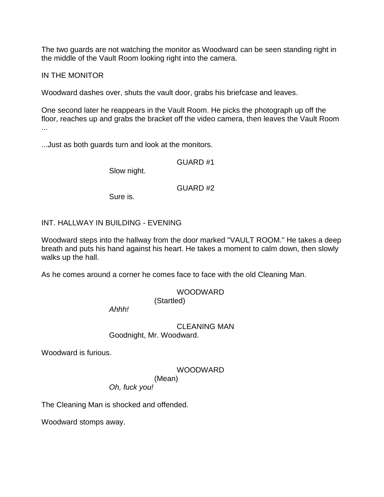The two guards are not watching the monitor as Woodward can be seen standing right in the middle of the Vault Room looking right into the camera.

#### IN THE MONITOR

Woodward dashes over, shuts the vault door, grabs his briefcase and leaves.

One second later he reappears in the Vault Room. He picks the photograph up off the floor, reaches up and grabs the bracket off the video camera, then leaves the Vault Room ...

...Just as both guards turn and look at the monitors.

GUARD #1

Slow night.

GUARD #2

Sure is.

## INT. HALLWAY IN BUILDING - EVENING

Woodward steps into the hallway from the door marked "VAULT ROOM." He takes a deep breath and puts his hand against his heart. He takes a moment to calm down, then slowly walks up the hall.

As he comes around a corner he comes face to face with the old Cleaning Man.

#### WOODWARD (Startled)

*Ahhh!*

#### CLEANING MAN Goodnight, Mr. Woodward.

Woodward is furious.

#### WOODWARD

(Mean)

*Oh, fuck you!*

The Cleaning Man is shocked and offended.

Woodward stomps away.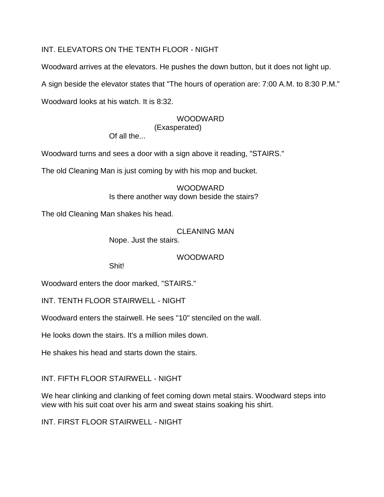# INT. ELEVATORS ON THE TENTH FLOOR - NIGHT

Woodward arrives at the elevators. He pushes the down button, but it does not light up.

A sign beside the elevator states that "The hours of operation are: 7:00 A.M. to 8:30 P.M."

Woodward looks at his watch. It is 8:32.

## WOODWARD

#### (Exasperated)

Of all the...

Woodward turns and sees a door with a sign above it reading, "STAIRS."

The old Cleaning Man is just coming by with his mop and bucket.

WOODWARD. Is there another way down beside the stairs?

The old Cleaning Man shakes his head.

CLEANING MAN Nope. Just the stairs.

## WOODWARD

Shit!

Woodward enters the door marked, "STAIRS."

INT. TENTH FLOOR STAIRWELL - NIGHT

Woodward enters the stairwell. He sees "10" stenciled on the wall.

He looks down the stairs. It's a million miles down.

He shakes his head and starts down the stairs.

INT. FIFTH FLOOR STAIRWELL - NIGHT

We hear clinking and clanking of feet coming down metal stairs. Woodward steps into view with his suit coat over his arm and sweat stains soaking his shirt.

INT. FIRST FLOOR STAIRWELL - NIGHT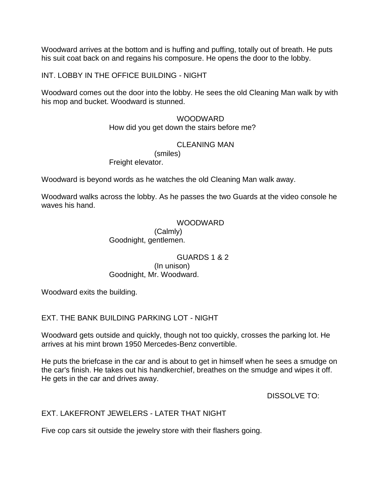Woodward arrives at the bottom and is huffing and puffing, totally out of breath. He puts his suit coat back on and regains his composure. He opens the door to the lobby.

INT. LOBBY IN THE OFFICE BUILDING - NIGHT

Woodward comes out the door into the lobby. He sees the old Cleaning Man walk by with his mop and bucket. Woodward is stunned.

> WOODWARD How did you get down the stairs before me?

## CLEANING MAN

(smiles) Freight elevator.

Woodward is beyond words as he watches the old Cleaning Man walk away.

Woodward walks across the lobby. As he passes the two Guards at the video console he waves his hand.

## WOODWARD

(Calmly) Goodnight, gentlemen.

GUARDS 1 & 2 (In unison) Goodnight, Mr. Woodward.

Woodward exits the building.

EXT. THE BANK BUILDING PARKING LOT - NIGHT

Woodward gets outside and quickly, though not too quickly, crosses the parking lot. He arrives at his mint brown 1950 Mercedes-Benz convertible.

He puts the briefcase in the car and is about to get in himself when he sees a smudge on the car's finish. He takes out his handkerchief, breathes on the smudge and wipes it off. He gets in the car and drives away.

DISSOLVE TO:

## EXT. LAKEFRONT JEWELERS - LATER THAT NIGHT

Five cop cars sit outside the jewelry store with their flashers going.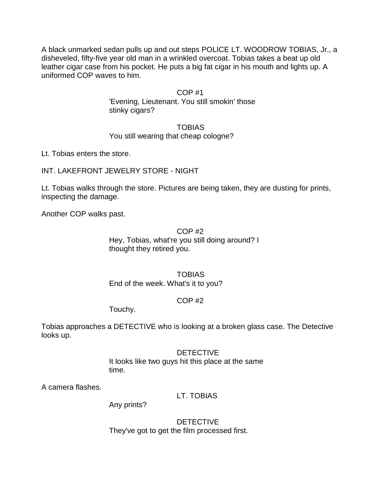A black unmarked sedan pulls up and out steps POLICE LT. WOODROW TOBIAS, Jr., a disheveled, fifty-five year old man in a wrinkled overcoat. Tobias takes a beat up old leather cigar case from his pocket. He puts a big fat cigar in his mouth and lights up. A uniformed COP waves to him.

## COP #1

'Evening, Lieutenant. You still smokin' those stinky cigars?

## **TOBIAS** You still wearing that cheap cologne?

Lt. Tobias enters the store.

INT. LAKEFRONT JEWELRY STORE - NIGHT

Lt. Tobias walks through the store. Pictures are being taken, they are dusting for prints, inspecting the damage.

Another COP walks past.

## COP #2 Hey, Tobias, what're you still doing around? I thought they retired you.

## TOBIAS End of the week. What's it to you?

## COP #2

Touchy.

Tobias approaches a DETECTIVE who is looking at a broken glass case. The Detective looks up.

## DETECTIVE

It looks like two guys hit this place at the same time.

A camera flashes.

## LT. TOBIAS

Any prints?

DETECTIVE They've got to get the film processed first.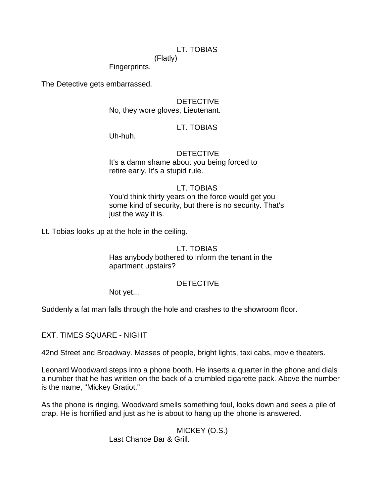## LT. TOBIAS

(Flatly) Fingerprints.

The Detective gets embarrassed.

#### **DETECTIVE**

No, they wore gloves, Lieutenant.

## LT. TOBIAS

Uh-huh.

## **DETECTIVE**

It's a damn shame about you being forced to retire early. It's a stupid rule.

#### LT. TOBIAS

You'd think thirty years on the force would get you some kind of security, but there is no security. That's just the way it is.

Lt. Tobias looks up at the hole in the ceiling.

#### LT. TOBIAS

Has anybody bothered to inform the tenant in the apartment upstairs?

#### DETECTIVE

Not yet...

Suddenly a fat man falls through the hole and crashes to the showroom floor.

EXT. TIMES SQUARE - NIGHT

42nd Street and Broadway. Masses of people, bright lights, taxi cabs, movie theaters.

Leonard Woodward steps into a phone booth. He inserts a quarter in the phone and dials a number that he has written on the back of a crumbled cigarette pack. Above the number is the name, "Mickey Gratiot."

As the phone is ringing, Woodward smells something foul, looks down and sees a pile of crap. He is horrified and just as he is about to hang up the phone is answered.

MICKEY (O.S.)

Last Chance Bar & Grill.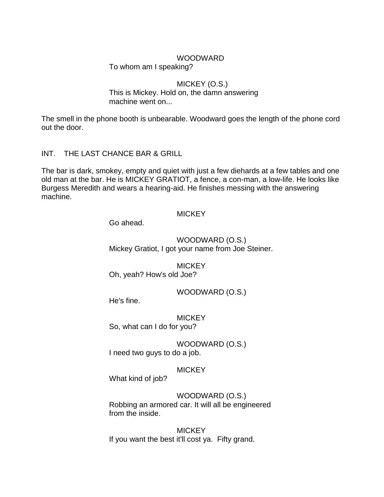#### WOODWARD

To whom am I speaking?

#### MICKEY (O.S.)

This is Mickey. Hold on, the damn answering machine went on...

The smell in the phone booth is unbearable. Woodward goes the length of the phone cord out the door.

## INT. THE LAST CHANCE BAR & GRILL

The bar is dark, smokey, empty and quiet with just a few diehards at a few tables and one old man at the bar. He is MICKEY GRATIOT, a fence, a con-man, a low-life. He looks like Burgess Meredith and wears a hearing-aid. He finishes messing with the answering machine.

#### **MICKEY**

Go ahead.

WOODWARD (O.S.) Mickey Gratiot, I got your name from Joe Steiner.

**MICKEY** Oh, yeah? How's old Joe?

WOODWARD (O.S.)

He's fine.

**MICKEY** 

So, what can I do for you?

WOODWARD (O.S.) I need two guys to do a job.

## **MICKEY**

What kind of job?

WOODWARD (O.S.) Robbing an armored car. It will all be engineered from the inside.

**MICKEY** If you want the best it'll cost ya. Fifty grand.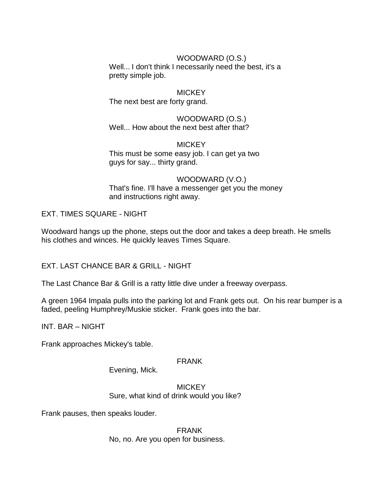## WOODWARD (O.S.)

Well... I don't think I necessarily need the best, it's a pretty simple job.

**MICKEY** The next best are forty grand.

WOODWARD (O.S.) Well... How about the next best after that?

#### **MICKEY** This must be some easy job. I can get ya two guys for say... thirty grand.

## WOODWARD (V.O.) That's fine. I'll have a messenger get you the money and instructions right away.

EXT. TIMES SQUARE - NIGHT

Woodward hangs up the phone, steps out the door and takes a deep breath. He smells his clothes and winces. He quickly leaves Times Square.

EXT. LAST CHANCE BAR & GRILL - NIGHT

The Last Chance Bar & Grill is a ratty little dive under a freeway overpass.

A green 1964 Impala pulls into the parking lot and Frank gets out. On his rear bumper is a faded, peeling Humphrey/Muskie sticker. Frank goes into the bar.

INT. BAR – NIGHT

Frank approaches Mickey's table.

## FRANK

Evening, Mick.

**MICKEY** Sure, what kind of drink would you like?

Frank pauses, then speaks louder.

FRANK No, no. Are you open for business.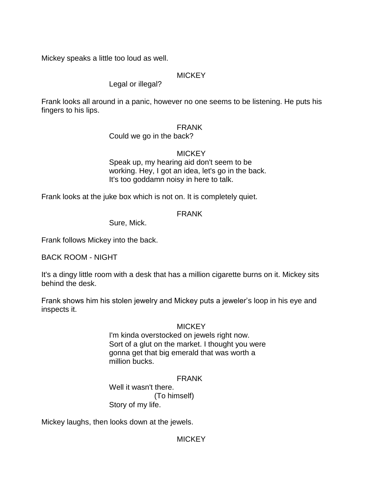Mickey speaks a little too loud as well.

## **MICKEY**

## Legal or illegal?

Frank looks all around in a panic, however no one seems to be listening. He puts his fingers to his lips.

#### FRANK

#### Could we go in the back?

## **MICKEY**

Speak up, my hearing aid don't seem to be working. Hey, I got an idea, let's go in the back. It's too goddamn noisy in here to talk.

Frank looks at the juke box which is not on. It is completely quiet.

#### FRANK

Sure, Mick.

Frank follows Mickey into the back.

BACK ROOM - NIGHT

It's a dingy little room with a desk that has a million cigarette burns on it. Mickey sits behind the desk.

Frank shows him his stolen jewelry and Mickey puts a jeweler's loop in his eye and inspects it.

#### **MICKEY**

I'm kinda overstocked on jewels right now. Sort of a glut on the market. I thought you were gonna get that big emerald that was worth a million bucks.

## FRANK

Well it wasn't there. (To himself) Story of my life.

Mickey laughs, then looks down at the jewels.

**MICKEY**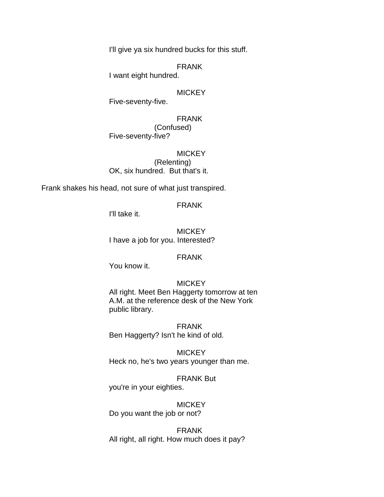I'll give ya six hundred bucks for this stuff.

FRANK

I want eight hundred.

#### **MICKEY**

Five-seventy-five.

FRANK (Confused) Five-seventy-five?

**MICKEY** (Relenting) OK, six hundred. But that's it.

Frank shakes his head, not sure of what just transpired.

FRANK

I'll take it.

**MICKEY** I have a job for you. Interested?

#### FRANK

You know it.

#### **MICKEY**

All right. Meet Ben Haggerty tomorrow at ten A.M. at the reference desk of the New York public library.

FRANK Ben Haggerty? Isn't he kind of old.

**MICKEY** Heck no, he's two years younger than me.

# FRANK But

you're in your eighties.

# **MICKEY**

Do you want the job or not?

FRANK All right, all right. How much does it pay?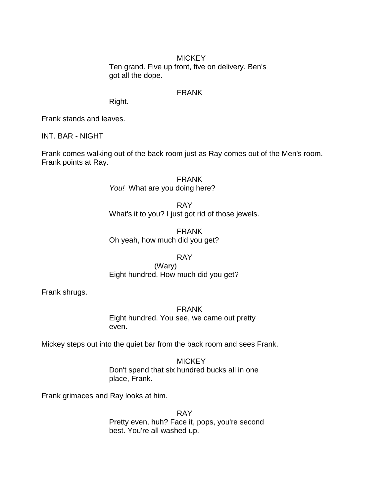#### **MICKEY** Ten grand. Five up front, five on delivery. Ben's got all the dope.

#### FRANK

Right.

Frank stands and leaves.

INT. BAR - NIGHT

Frank comes walking out of the back room just as Ray comes out of the Men's room. Frank points at Ray.

> FRANK *You!* What are you doing here?

RAY What's it to you? I just got rid of those jewels.

FRANK Oh yeah, how much did you get?

## RAY

(Wary) Eight hundred. How much did you get?

Frank shrugs.

FRANK

Eight hundred. You see, we came out pretty even.

Mickey steps out into the quiet bar from the back room and sees Frank.

**MICKEY** Don't spend that six hundred bucks all in one place, Frank.

Frank grimaces and Ray looks at him.

RAY Pretty even, huh? Face it, pops, you're second best. You're all washed up.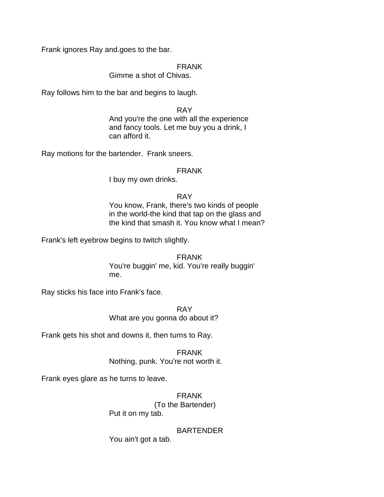Frank ignores Ray and.goes to the bar.

#### FRANK

#### Gimme a shot of Chivas.

Ray follows him to the bar and begins to laugh.

#### RAY

And you're the one with all the experience and fancy tools. Let me buy you a drink, I can afford it.

Ray motions for the bartender. Frank sneers.

#### FRANK

I buy my own drinks.

#### RAY

You know, Frank, there's two kinds of people in the world-the kind that tap on the glass and the kind that smash it. You know what I mean?

Frank's left eyebrow begins to twitch slightly.

## FRANK

You're buggin' me, kid. You're really buggin' me.

Ray sticks his face into Frank's face.

RAY What are you gonna do about it?

Frank gets his shot and downs it, then turns to Ray.

FRANK Nothing, punk. You're not worth it.

Frank eyes glare as he turns to leave.

## FRANK

(To the Bartender) Put it on my tab.

## **BARTENDER**

You ain't got a tab.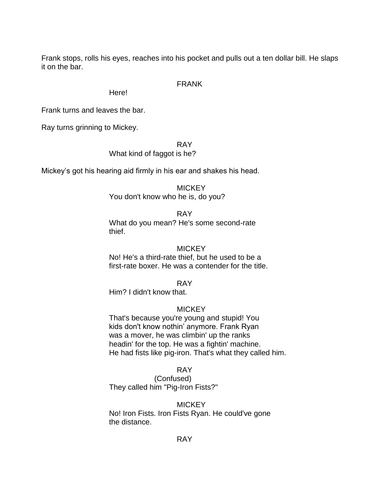Frank stops, rolls his eyes, reaches into his pocket and pulls out a ten dollar bill. He slaps it on the bar.

#### FRANK

Here!

Frank turns and leaves the bar.

Ray turns grinning to Mickey.

#### RAY

#### What kind of faggot is he?

Mickey's got his hearing aid firmly in his ear and shakes his head.

#### **MICKEY**

You don't know who he is, do you?

#### RAY

What do you mean? He's some second-rate thief.

#### **MICKEY**

No! He's a third-rate thief, but he used to be a first-rate boxer. He was a contender for the title.

#### RAY

Him? I didn't know that.

## **MICKEY**

That's because you're young and stupid! You kids don't know nothin' anymore. Frank Ryan was a mover, he was climbin' up the ranks headin' for the top. He was a fightin' machine. He had fists like pig-iron. That's what they called him.

#### RAY

(Confused) They called him "Pig-Iron Fists?"

## **MICKEY**

No! Iron Fists. Iron Fists Ryan. He could've gone the distance.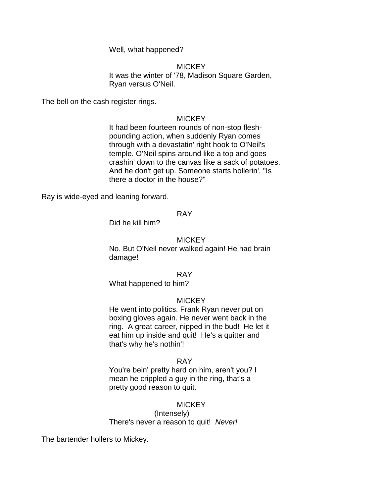Well, what happened?

#### **MICKEY**

It was the winter of '78, Madison Square Garden, Ryan versus O'Neil.

The bell on the cash register rings.

#### **MICKEY**

It had been fourteen rounds of non-stop fleshpounding action, when suddenly Ryan comes through with a devastatin' right hook to O'Neil's temple. O'Neil spins around like a top and goes crashin' down to the canvas like a sack of potatoes. And he don't get up. Someone starts hollerin', "Is there a doctor in the house?"

Ray is wide-eyed and leaning forward.

#### RAY

Did he kill him?

#### **MICKEY**

No. But O'Neil never walked again! He had brain damage!

#### RAY

What happened to him?

#### **MICKEY**

He went into politics. Frank Ryan never put on boxing gloves again. He never went back in the ring. A great career, nipped in the bud! He let it eat him up inside and quit! He's a quitter and that's why he's nothin'!

#### RAY

You're bein' pretty hard on him, aren't you? I mean he crippled a guy in the ring, that's a pretty good reason to quit.

#### **MICKEY**

(Intensely) There's never a reason to quit! *Never!*

The bartender hollers to Mickey.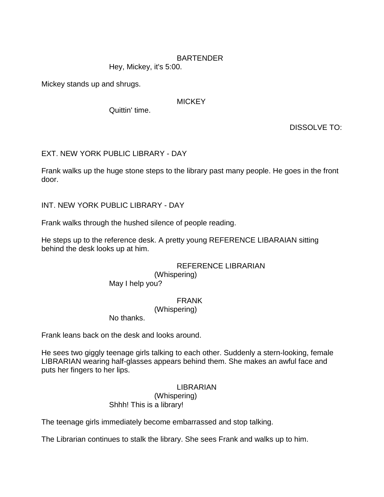## BARTENDER

Hey, Mickey, it's 5:00.

Mickey stands up and shrugs.

#### **MICKEY**

Quittin' time.

DISSOLVE TO:

## EXT. NEW YORK PUBLIC LIBRARY - DAY

Frank walks up the huge stone steps to the library past many people. He goes in the front door.

INT. NEW YORK PUBLIC LIBRARY - DAY

Frank walks through the hushed silence of people reading.

He steps up to the reference desk. A pretty young REFERENCE LIBARAIAN sitting behind the desk looks up at him.

## REFERENCE LIBRARIAN

(Whispering) May I help you?

## FRANK

(Whispering)

No thanks.

Frank leans back on the desk and looks around.

He sees two giggly teenage girls talking to each other. Suddenly a stern-looking, female LIBRARIAN wearing half-glasses appears behind them. She makes an awful face and puts her fingers to her lips.

#### LIBRARIAN

(Whispering) Shhh! This is a library!

The teenage girls immediately become embarrassed and stop talking.

The Librarian continues to stalk the library. She sees Frank and walks up to him.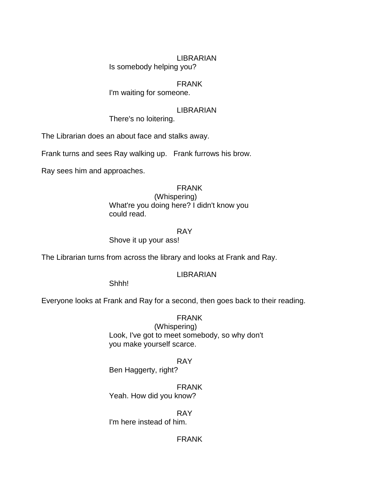#### LIBRARIAN

Is somebody helping you?

#### FRANK

I'm waiting for someone.

#### LIBRARIAN

There's no loitering.

The Librarian does an about face and stalks away.

Frank turns and sees Ray walking up. Frank furrows his brow.

Ray sees him and approaches.

## FRANK

(Whispering) What're you doing here? I didn't know you could read.

#### RAY

Shove it up your ass!

The Librarian turns from across the library and looks at Frank and Ray.

## LIBRARIAN

Shhh!

Everyone looks at Frank and Ray for a second, then goes back to their reading.

FRANK (Whispering) Look, I've got to meet somebody, so why don't you make yourself scarce.

#### RAY

Ben Haggerty, right?

FRANK Yeah. How did you know?

RAY

I'm here instead of him.

FRANK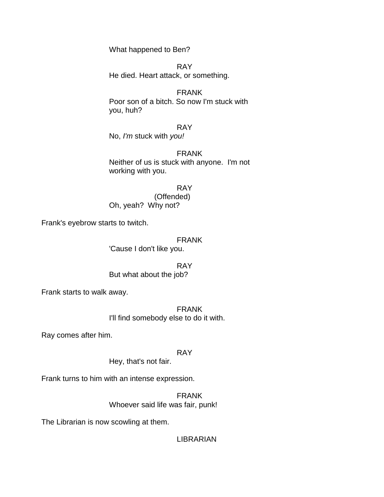What happened to Ben?

RAY He died. Heart attack, or something.

FRANK Poor son of a bitch. So now I'm stuck with you, huh?

RAY No, *I'm* stuck with *you!*

FRANK Neither of us is stuck with anyone. I'm not working with you.

RAY (Offended) Oh, yeah? Why not?

Frank's eyebrow starts to twitch.

FRANK 'Cause I don't like you.

RAY But what about the job?

Frank starts to walk away.

FRANK I'll find somebody else to do it with.

Ray comes after him.

## RAY

Hey, that's not fair.

Frank turns to him with an intense expression.

FRANK Whoever said life was fair, punk!

The Librarian is now scowling at them.

LIBRARIAN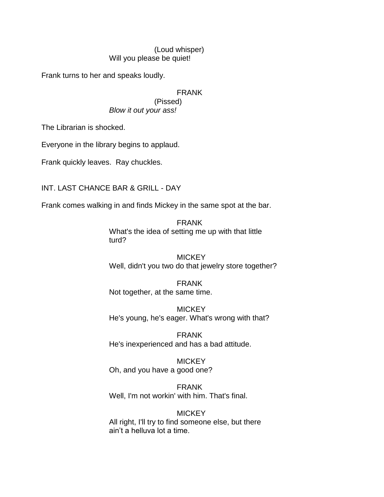## (Loud whisper) Will you please be quiet!

Frank turns to her and speaks loudly.

FRANK (Pissed) *Blow it out your ass!*

The Librarian is shocked.

Everyone in the library begins to applaud.

Frank quickly leaves. Ray chuckles.

INT. LAST CHANCE BAR & GRILL - DAY

Frank comes walking in and finds Mickey in the same spot at the bar.

FRANK What's the idea of setting me up with that little turd?

**MICKEY** Well, didn't you two do that jewelry store together?

FRANK Not together, at the same time.

**MICKEY** He's young, he's eager. What's wrong with that?

FRANK He's inexperienced and has a bad attitude.

**MICKEY** Oh, and you have a good one?

FRANK Well, I'm not workin' with him. That's final.

**MICKEY** All right, I'll try to find someone else, but there ain't a helluva lot a time.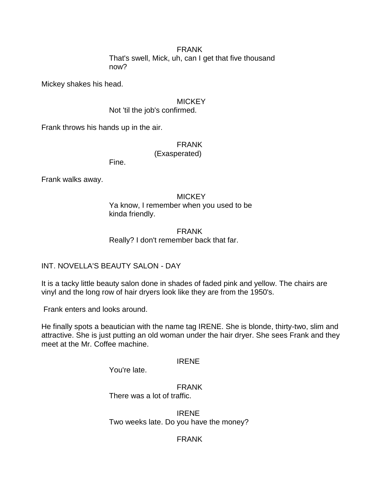## FRANK

That's swell, Mick, uh, can I get that five thousand now?

Mickey shakes his head.

## **MICKEY**

Not 'til the job's confirmed.

Frank throws his hands up in the air.

# FRANK

(Exasperated)

Fine.

Frank walks away.

#### **MICKEY**

Ya know, I remember when you used to be kinda friendly.

## FRANK Really? I don't remember back that far.

# INT. NOVELLA'S BEAUTY SALON - DAY

It is a tacky little beauty salon done in shades of faded pink and yellow. The chairs are vinyl and the long row of hair dryers look like they are from the 1950's.

Frank enters and looks around.

He finally spots a beautician with the name tag IRENE. She is blonde, thirty-two, slim and attractive. She is just putting an old woman under the hair dryer. She sees Frank and they meet at the Mr. Coffee machine.

## IRENE

You're late.

#### FRANK There was a lot of traffic.

IRENE Two weeks late. Do you have the money?

# FRANK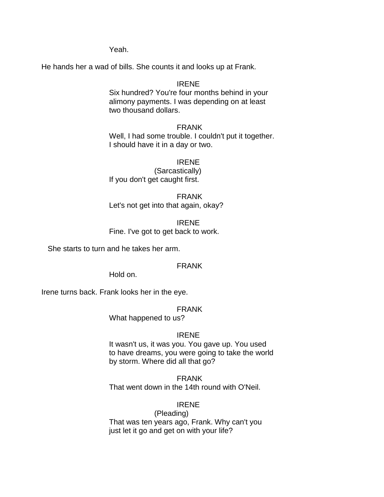Yeah.

He hands her a wad of bills. She counts it and looks up at Frank.

# IRENE

Six hundred? You're four months behind in your alimony payments. I was depending on at least two thousand dollars.

### FRANK

Well, I had some trouble. I couldn't put it together. I should have it in a day or two.

#### IRENE

(Sarcastically) If you don't get caught first.

FRANK Let's not get into that again, okay?

IRENE Fine. I've got to get back to work.

She starts to turn and he takes her arm.

# FRANK

Hold on.

Irene turns back. Frank looks her in the eye.

#### FRANK

What happened to us?

## IRENE

It wasn't us, it was you. You gave up. You used to have dreams, you were going to take the world by storm. Where did all that go?

FRANK That went down in the 14th round with O'Neil.

## IRENE

(Pleading) That was ten years ago, Frank. Why can't you just let it go and get on with your life?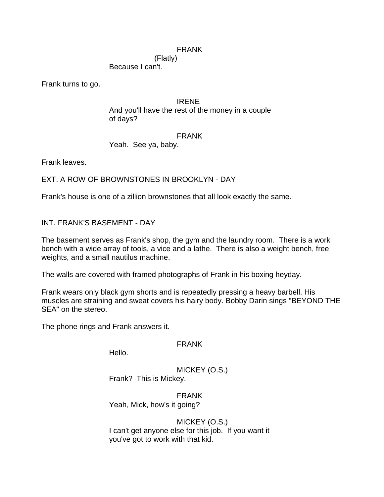# FRANK

(Flatly) Because I can't.

Frank turns to go.

### IRENE

And you'll have the rest of the money in a couple of days?

#### FRANK

Yeah. See ya, baby.

Frank leaves.

EXT. A ROW OF BROWNSTONES IN BROOKLYN - DAY

Frank's house is one of a zillion brownstones that all look exactly the same.

INT. FRANK'S BASEMENT - DAY

The basement serves as Frank's shop, the gym and the laundry room. There is a work bench with a wide array of tools, a vice and a lathe. There is also a weight bench, free weights, and a small nautilus machine.

The walls are covered with framed photographs of Frank in his boxing heyday.

Frank wears only black gym shorts and is repeatedly pressing a heavy barbell. His muscles are straining and sweat covers his hairy body. Bobby Darin sings "BEYOND THE SEA" on the stereo.

The phone rings and Frank answers it.

## FRANK

Hello.

MICKEY (O.S.) Frank? This is Mickey.

FRANK Yeah, Mick, how's it going?

MICKEY (O.S.) I can't get anyone else for this job. If you want it you've got to work with that kid.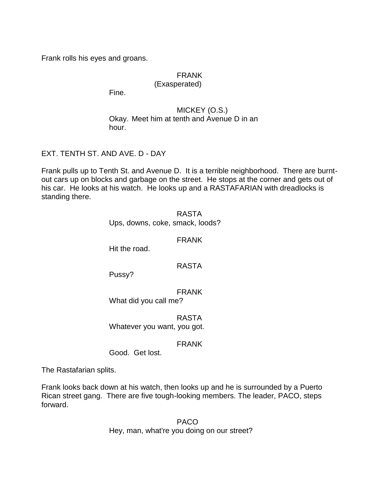Frank rolls his eyes and groans.

# FRANK

## (Exasperated)

Fine.

# MICKEY (O.S.) Okay. Meet him at tenth and Avenue D in an hour.

EXT. TENTH ST. AND AVE. D - DAY

Frank pulls up to Tenth St. and Avenue D. It is a terrible neighborhood. There are burntout cars up on blocks and garbage on the street. He stops at the corner and gets out of his car. He looks at his watch. He looks up and a RASTAFARIAN with dreadlocks is standing there.

> RASTA Ups, downs, coke, smack, loods?

> > FRANK

Hit the road.

# RASTA

Pussy?

FRANK What did you call me?

RASTA Whatever you want, you got.

# FRANK

Good. Get lost.

The Rastafarian splits.

Frank looks back down at his watch, then looks up and he is surrounded by a Puerto Rican street gang. There are five tough-looking members. The leader, PACO, steps forward.

> PACO Hey, man, what're you doing on our street?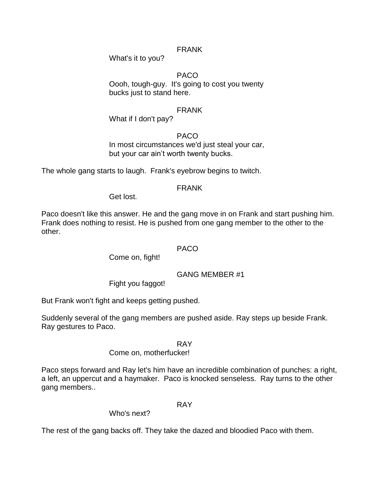# FRANK

What's it to you?

PACO Oooh, tough-guy. It's going to cost you twenty bucks just to stand here.

# FRANK

What if I don't pay?

PACO In most circumstances we'd just steal your car, but your car ain't worth twenty bucks.

The whole gang starts to laugh. Frank's eyebrow begins to twitch.

# FRANK

Get lost.

Paco doesn't like this answer. He and the gang move in on Frank and start pushing him. Frank does nothing to resist. He is pushed from one gang member to the other to the other.

## PACO

Come on, fight!

# GANG MEMBER #1

Fight you faggot!

But Frank won't fight and keeps getting pushed.

Suddenly several of the gang members are pushed aside. Ray steps up beside Frank. Ray gestures to Paco.

RAY

# Come on, motherfucker!

Paco steps forward and Ray let's him have an incredible combination of punches: a right, a left, an uppercut and a haymaker. Paco is knocked senseless. Ray turns to the other gang members..

## RAY

Who's next?

The rest of the gang backs off. They take the dazed and bloodied Paco with them.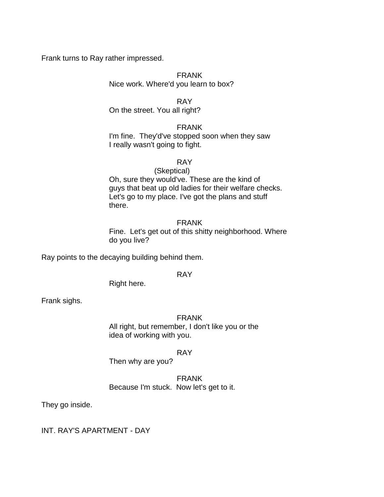Frank turns to Ray rather impressed.

FRANK Nice work. Where'd you learn to box?

RAY

On the street. You all right?

## FRANK

I'm fine. They'd've stopped soon when they saw I really wasn't going to fight.

## RAY

#### (Skeptical)

Oh, sure they would've. These are the kind of guys that beat up old ladies for their welfare checks. Let's go to my place. I've got the plans and stuff there.

#### FRANK

Fine. Let's get out of this shitty neighborhood. Where do you live?

Ray points to the decaying building behind them.

## RAY

Right here.

Frank sighs.

## FRANK

All right, but remember, I don't like you or the idea of working with you.

## RAY

Then why are you?

# FRANK Because I'm stuck. Now let's get to it.

They go inside.

INT. RAY'S APARTMENT - DAY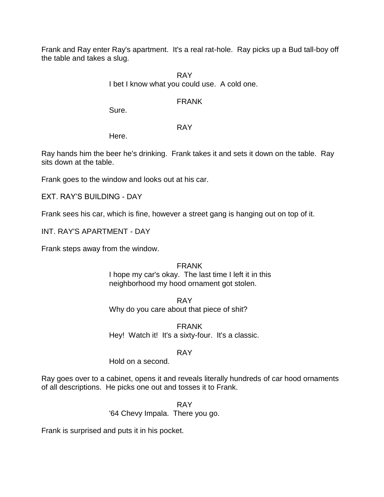Frank and Ray enter Ray's apartment. It's a real rat-hole. Ray picks up a Bud tall-boy off the table and takes a slug.

> RAY I bet I know what you could use. A cold one.

# FRANK

Sure.

# RAY

Here.

Ray hands him the beer he's drinking. Frank takes it and sets it down on the table. Ray sits down at the table.

Frank goes to the window and looks out at his car.

EXT. RAY'S BUILDING - DAY

Frank sees his car, which is fine, however a street gang is hanging out on top of it.

INT. RAY'S APARTMENT - DAY

Frank steps away from the window.

# FRANK

I hope my car's okay. The last time I left it in this neighborhood my hood ornament got stolen.

RAY Why do you care about that piece of shit?

FRANK Hey! Watch it! It's a sixty-four. It's a classic.

# RAY

Hold on a second.

Ray goes over to a cabinet, opens it and reveals literally hundreds of car hood ornaments of all descriptions. He picks one out and tosses it to Frank.

> RAY '64 Chevy Impala. There you go.

Frank is surprised and puts it in his pocket.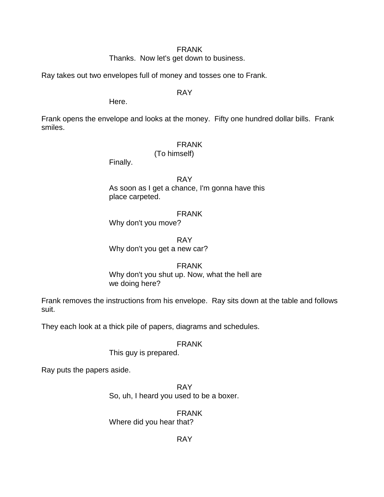### FRANK

Thanks. Now let's get down to business.

Ray takes out two envelopes full of money and tosses one to Frank.

RAY

Here.

Frank opens the envelope and looks at the money. Fifty one hundred dollar bills. Frank smiles.

# FRANK

(To himself)

Finally.

RAY

As soon as I get a chance, I'm gonna have this place carpeted.

# FRANK

Why don't you move?

RAY Why don't you get a new car?

# FRANK

Why don't you shut up. Now, what the hell are we doing here?

Frank removes the instructions from his envelope. Ray sits down at the table and follows suit.

They each look at a thick pile of papers, diagrams and schedules.

# FRANK

This guy is prepared.

Ray puts the papers aside.

RAY So, uh, I heard you used to be a boxer.

FRANK Where did you hear that?

RAY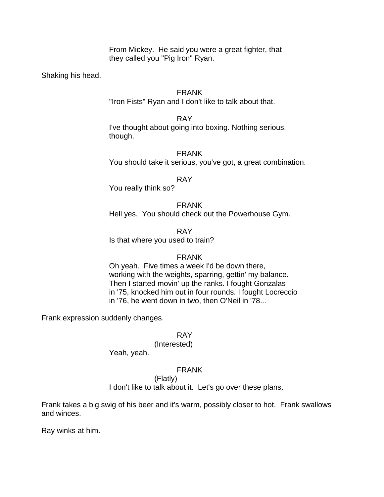From Mickey. He said you were a great fighter, that they called you "Pig Iron" Ryan.

Shaking his head.

## FRANK

"Iron Fists" Ryan and I don't like to talk about that.

RAY I've thought about going into boxing. Nothing serious, though.

FRANK You should take it serious, you've got, a great combination.

RAY

You really think so?

FRANK Hell yes. You should check out the Powerhouse Gym.

RAY Is that where you used to train?

# FRANK

Oh yeah. Five times a week I'd be down there, working with the weights, sparring, gettin' my balance. Then I started movin' up the ranks. I fought Gonzalas in '75, knocked him out in four rounds. I fought Locreccio in '76, he went down in two, then O'Neil in '78...

Frank expression suddenly changes.

## RAY

## (Interested)

Yeah, yeah.

# FRANK

(Flatly)

I don't like to talk about it. Let's go over these plans.

Frank takes a big swig of his beer and it's warm, possibly closer to hot. Frank swallows and winces.

Ray winks at him.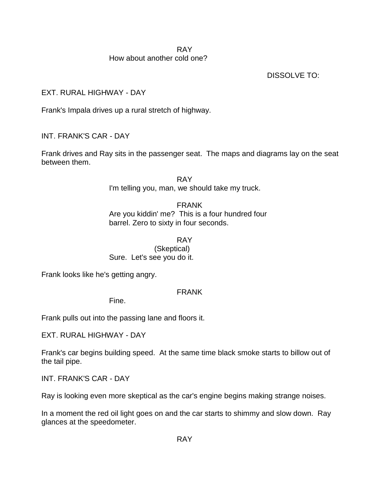## RAY How about another cold one?

DISSOLVE TO:

EXT. RURAL HIGHWAY - DAY

Frank's Impala drives up a rural stretch of highway.

INT. FRANK'S CAR - DAY

Frank drives and Ray sits in the passenger seat. The maps and diagrams lay on the seat between them.

> RAY I'm telling you, man, we should take my truck.

FRANK Are you kiddin' me? This is a four hundred four barrel. Zero to sixty in four seconds.

RAY (Skeptical) Sure. Let's see you do it.

Frank looks like he's getting angry.

# FRANK

Fine.

Frank pulls out into the passing lane and floors it.

EXT. RURAL HIGHWAY - DAY

Frank's car begins building speed. At the same time black smoke starts to billow out of the tail pipe.

INT. FRANK'S CAR - DAY

Ray is looking even more skeptical as the car's engine begins making strange noises.

In a moment the red oil light goes on and the car starts to shimmy and slow down. Ray glances at the speedometer.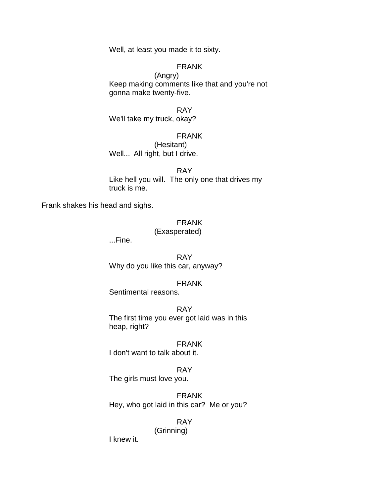Well, at least you made it to sixty.

## FRANK

(Angry) Keep making comments like that and you're not gonna make twenty-five.

RAY We'll take my truck, okay?

### FRANK

(Hesitant) Well... All right, but I drive.

RAY Like hell you will. The only one that drives my truck is me.

Frank shakes his head and sighs.

# FRANK

## (Exasperated)

...Fine.

RAY Why do you like this car, anyway?

#### FRANK

Sentimental reasons.

RAY The first time you ever got laid was in this heap, right?

FRANK I don't want to talk about it.

# RAY

The girls must love you.

FRANK Hey, who got laid in this car? Me or you?

# RAY

(Grinning)

I knew it.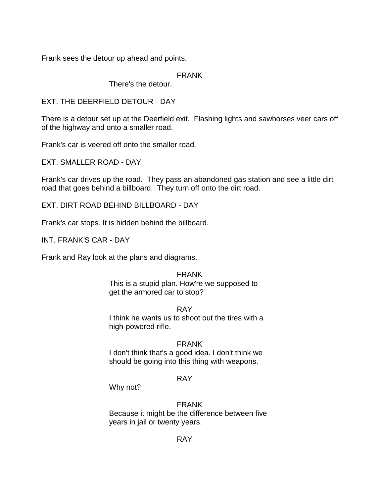Frank sees the detour up ahead and points.

FRANK

There's the detour.

EXT. THE DEERFIELD DETOUR - DAY

There is a detour set up at the Deerfield exit. Flashing lights and sawhorses veer cars off of the highway and onto a smaller road.

Frank's car is veered off onto the smaller road.

EXT. SMALLER ROAD - DAY

Frank's car drives up the road. They pass an abandoned gas station and see a little dirt road that goes behind a billboard. They turn off onto the dirt road.

EXT. DIRT ROAD BEHIND BILLBOARD - DAY

Frank's car stops. It is hidden behind the billboard.

INT. FRANK'S CAR - DAY

Frank and Ray look at the plans and diagrams.

# FRANK

This is a stupid plan. How're we supposed to get the armored car to stop?

# RAY

I think he wants us to shoot out the tires with a high-powered rifle.

# FRANK

I don't think that's a good idea. I don't think we should be going into this thing with weapons.

# RAY

Why not?

# FRANK

Because it might be the difference between five years in jail or twenty years.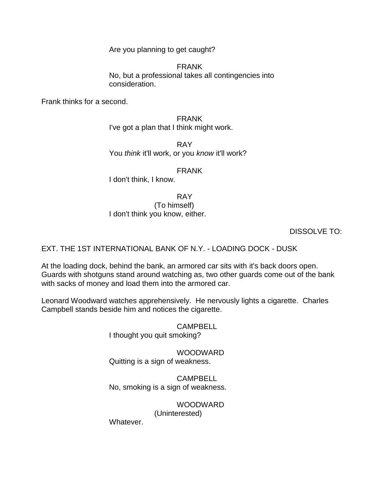Are you planning to get caught?

FRANK No, but a professional takes all contingencies into consideration.

Frank thinks for a second.

FRANK I've got a plan that I think might work.

RAY You *think* it'll work, or you *know* it'll work?

FRANK

I don't think, I know.

RAY

(To himself) I don't think you know, either.

DISSOLVE TO:

EXT. THE 1ST INTERNATIONAL BANK OF N.Y. - LOADING DOCK - DUSK

At the loading dock, behind the bank, an armored car sits with it's back doors open. Guards with shotguns stand around watching as, two other guards come out of the bank with sacks of money and load them into the armored car.

Leonard Woodward watches apprehensively. He nervously lights a cigarette. Charles Campbell stands beside him and notices the cigarette.

> CAMPBELL I thought you quit smoking?

WOODWARD Quitting is a sign of weakness.

CAMPBELL No, smoking is a sign of weakness.

WOODWARD

(Uninterested)

Whatever.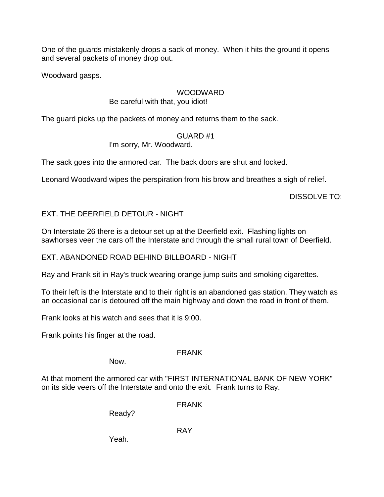One of the guards mistakenly drops a sack of money. When it hits the ground it opens and several packets of money drop out.

Woodward gasps.

# WOODWARD

# Be careful with that, you idiot!

The guard picks up the packets of money and returns them to the sack.

# GUARD #1

I'm sorry, Mr. Woodward.

The sack goes into the armored car. The back doors are shut and locked.

Leonard Woodward wipes the perspiration from his brow and breathes a sigh of relief.

DISSOLVE TO:

# EXT. THE DEERFIELD DETOUR - NIGHT

On Interstate 26 there is a detour set up at the Deerfield exit. Flashing lights on sawhorses veer the cars off the Interstate and through the small rural town of Deerfield.

EXT. ABANDONED ROAD BEHIND BILLBOARD - NIGHT

Ray and Frank sit in Ray's truck wearing orange jump suits and smoking cigarettes.

To their left is the Interstate and to their right is an abandoned gas station. They watch as an occasional car is detoured off the main highway and down the road in front of them.

Frank looks at his watch and sees that it is 9:00.

Frank points his finger at the road.

# FRANK

Now.

At that moment the armored car with "FIRST INTERNATIONAL BANK OF NEW YORK" on its side veers off the Interstate and onto the exit. Frank turns to Ray.

FRANK

Ready?

RAY

Yeah.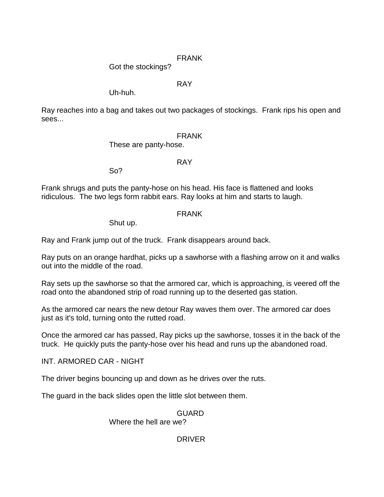# FRANK

Got the stockings?

# RAY

Uh-huh.

Ray reaches into a bag and takes out two packages of stockings. Frank rips his open and sees...

# FRANK

These are panty-hose.

# RAY

So?

Frank shrugs and puts the panty-hose on his head. His face is flattened and looks ridiculous. The two legs form rabbit ears. Ray looks at him and starts to laugh.

# FRANK

Shut up.

Ray and Frank jump out of the truck. Frank disappears around back.

Ray puts on an orange hardhat, picks up a sawhorse with a flashing arrow on it and walks out into the middle of the road.

Ray sets up the sawhorse so that the armored car, which is approaching, is veered off the road onto the abandoned strip of road running up to the deserted gas station.

As the armored car nears the new detour Ray waves them over. The armored car does just as it's told, turning onto the rutted road.

Once the armored car has passed, Ray picks up the sawhorse, tosses it in the back of the truck. He quickly puts the panty-hose over his head and runs up the abandoned road.

INT. ARMORED CAR - NIGHT

The driver begins bouncing up and down as he drives over the ruts.

The guard in the back slides open the little slot between them.

# GUARD

Where the hell are we?

# DRIVER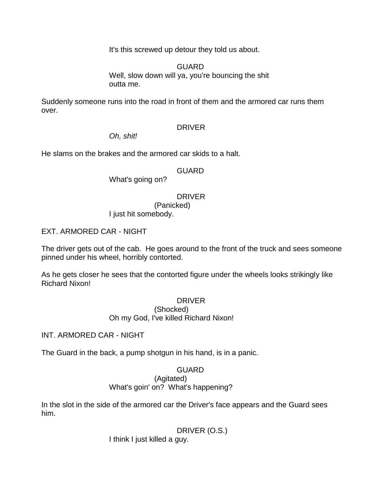It's this screwed up detour they told us about.

GUARD Well, slow down will ya, you're bouncing the shit outta me.

Suddenly someone runs into the road in front of them and the armored car runs them over.

## DRIVER

*Oh, shit!*

He slams on the brakes and the armored car skids to a halt.

## **GUARD**

What's going on?

# DRIVER

(Panicked)

I just hit somebody.

EXT. ARMORED CAR - NIGHT

The driver gets out of the cab. He goes around to the front of the truck and sees someone pinned under his wheel, horribly contorted.

As he gets closer he sees that the contorted figure under the wheels looks strikingly like Richard Nixon!

## DRIVER

(Shocked) Oh my God, I've killed Richard Nixon!

INT. ARMORED CAR - NIGHT

The Guard in the back, a pump shotgun in his hand, is in a panic.

## GUARD

(Agitated)

What's goin' on? What's happening?

In the slot in the side of the armored car the Driver's face appears and the Guard sees him.

DRIVER (O.S.)

I think I just killed a guy.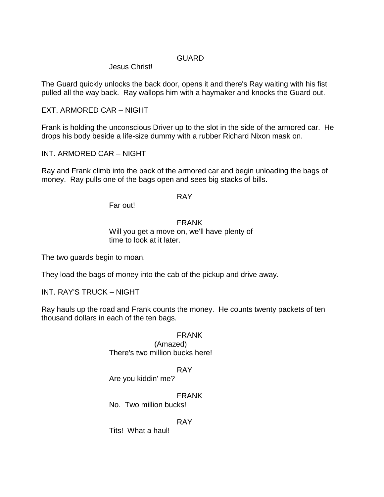# **GUARD**

# Jesus Christ!

The Guard quickly unlocks the back door, opens it and there's Ray waiting with his fist pulled all the way back. Ray wallops him with a haymaker and knocks the Guard out.

EXT. ARMORED CAR – NIGHT

Frank is holding the unconscious Driver up to the slot in the side of the armored car. He drops his body beside a life-size dummy with a rubber Richard Nixon mask on.

INT. ARMORED CAR – NIGHT

Ray and Frank climb into the back of the armored car and begin unloading the bags of money. Ray pulls one of the bags open and sees big stacks of bills.

# RAY

Far out!

# FRANK

Will you get a move on, we'll have plenty of time to look at it later.

The two guards begin to moan.

They load the bags of money into the cab of the pickup and drive away.

INT. RAY'S TRUCK – NIGHT

Ray hauls up the road and Frank counts the money. He counts twenty packets of ten thousand dollars in each of the ten bags.

# FRANK

(Amazed) There's two million bucks here!

## RAY

Are you kiddin' me?

# FRANK

No. Two million bucks!

## RAY

Tits! What a haul!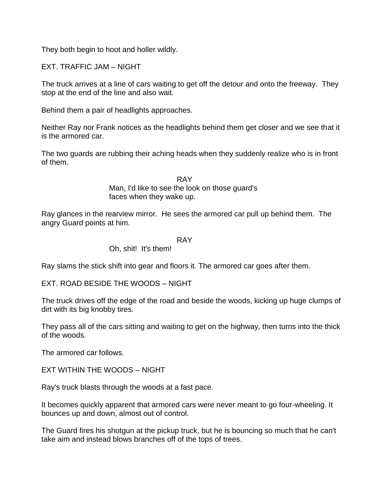They both begin to hoot and holler wildly.

EXT. TRAFFIC JAM – NIGHT

The truck arrives at a line of cars waiting to get off the detour and onto the freeway. They stop at the end of the line and also wait.

Behind them a pair of headlights approaches.

Neither Ray nor Frank notices as the headlights behind them get closer and we see that it is the armored car.

The two guards are rubbing their aching heads when they suddenly realize who is in front of them.

> RAY Man, I'd like to see the look on those guard's faces when they wake up.

Ray glances in the rearview mirror. He sees the armored car pull up behind them. The angry Guard points at him.

#### RAY

## Oh, shit! It's them!

Ray slams the stick shift into gear and floors it. The armored car goes after them.

EXT. ROAD BESIDE THE WOODS – NIGHT

The truck drives off the edge of the road and beside the woods, kicking up huge clumps of dirt with its big knobby tires.

They pass all of the cars sitting and waiting to get on the highway, then turns into the thick of the woods.

The armored car follows.

EXT WITHIN THE WOODS – NIGHT

Ray's truck blasts through the woods at a fast pace.

It becomes quickly apparent that armored cars were never meant to go four-wheeling. It bounces up and down, almost out of control.

The Guard fires his shotgun at the pickup truck, but he is bouncing so much that he can't take aim and instead blows branches off of the tops of trees.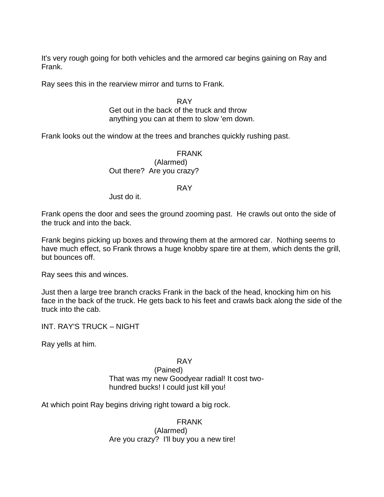It's very rough going for both vehicles and the armored car begins gaining on Ray and Frank.

Ray sees this in the rearview mirror and turns to Frank.

RAY Get out in the back of the truck and throw anything you can at them to slow 'em down.

Frank looks out the window at the trees and branches quickly rushing past.

FRANK (Alarmed) Out there? Are you crazy?

#### RAY

Just do it.

Frank opens the door and sees the ground zooming past. He crawls out onto the side of the truck and into the back.

Frank begins picking up boxes and throwing them at the armored car. Nothing seems to have much effect, so Frank throws a huge knobby spare tire at them, which dents the grill, but bounces off.

Ray sees this and winces.

Just then a large tree branch cracks Frank in the back of the head, knocking him on his face in the back of the truck. He gets back to his feet and crawls back along the side of the truck into the cab.

INT. RAY'S TRUCK – NIGHT

Ray yells at him.

RAY

(Pained)

That was my new Goodyear radial! It cost twohundred bucks! I could just kill you!

At which point Ray begins driving right toward a big rock.

FRANK

(Alarmed) Are you crazy? I'll buy you a new tire!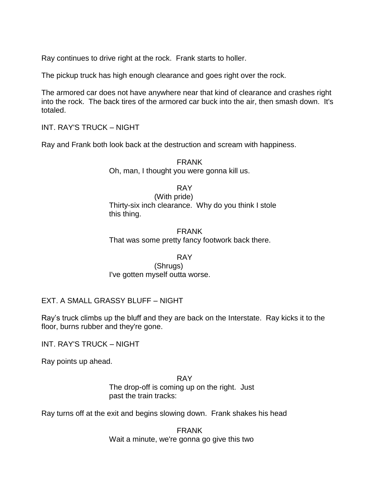Ray continues to drive right at the rock. Frank starts to holler.

The pickup truck has high enough clearance and goes right over the rock.

The armored car does not have anywhere near that kind of clearance and crashes right into the rock. The back tires of the armored car buck into the air, then smash down. It's totaled.

INT. RAY'S TRUCK – NIGHT

Ray and Frank both look back at the destruction and scream with happiness.

FRANK Oh, man, I thought you were gonna kill us.

RAY

(With pride) Thirty-six inch clearance. Why do you think I stole this thing.

FRANK That was some pretty fancy footwork back there.

## RAY

(Shrugs) I've gotten myself outta worse.

# EXT. A SMALL GRASSY BLUFF – NIGHT

Ray's truck climbs up the bluff and they are back on the Interstate. Ray kicks it to the floor, burns rubber and they're gone.

INT. RAY'S TRUCK – NIGHT

Ray points up ahead.

RAY The drop-off is coming up on the right. Just past the train tracks:

Ray turns off at the exit and begins slowing down. Frank shakes his head

FRANK Wait a minute, we're gonna go give this two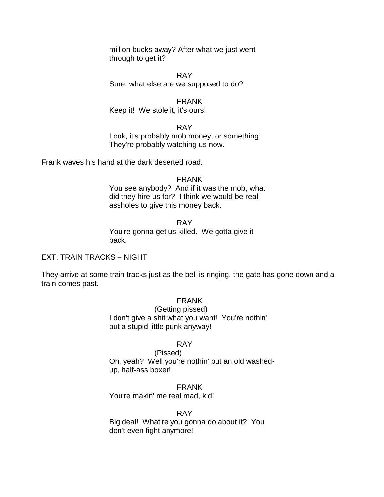million bucks away? After what we just went through to get it?

RAY Sure, what else are we supposed to do?

FRANK Keep it! We stole it, it's ours!

RAY Look, it's probably mob money, or something. They're probably watching us now.

Frank waves his hand at the dark deserted road.

FRANK You see anybody? And if it was the mob, what did they hire us for? I think we would be real assholes to give this money back.

RAY You're gonna get us killed. We gotta give it back.

EXT. TRAIN TRACKS – NIGHT

They arrive at some train tracks just as the bell is ringing, the gate has gone down and a train comes past.

FRANK

(Getting pissed) I don't give a shit what you want! You're nothin' but a stupid little punk anyway!

# RAY

(Pissed) Oh, yeah? Well you're nothin' but an old washedup, half-ass boxer!

FRANK You're makin' me real mad, kid!

RAY

Big deal! What're you gonna do about it? You don't even fight anymore!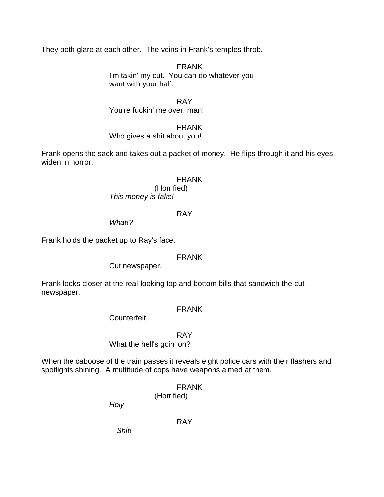They both glare at each other. The veins in Frank's temples throb.

FRANK I'm takin' my cut. You can do whatever you want with your half.

RAY

You're fuckin' me over, man!

FRANK

Who gives a shit about you!

Frank opens the sack and takes out a packet of money. He flips through it and his eyes widen in horror.

# FRANK

(Horrified) *This money is fake!*

# RAY

*What!?*

Frank holds the packet up to Ray's face.

# FRANK

Cut newspaper.

Frank looks closer at the real-looking top and bottom bills that sandwich the cut newspaper.

# FRANK

Counterfeit.

RAY

What the hell's goin' on?

When the caboose of the train passes it reveals eight police cars with their flashers and spotlights shining. A multitude of cops have weapons aimed at them.

> FRANK (Horrified)

*Holy*—

RAY

—*Shit!*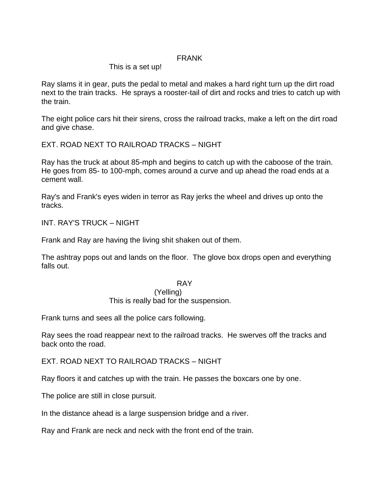# FRANK

# This is a set up!

Ray slams it in gear, puts the pedal to metal and makes a hard right turn up the dirt road next to the train tracks. He sprays a rooster-tail of dirt and rocks and tries to catch up with the train.

The eight police cars hit their sirens, cross the railroad tracks, make a left on the dirt road and give chase.

EXT. ROAD NEXT TO RAILROAD TRACKS – NIGHT

Ray has the truck at about 85-mph and begins to catch up with the caboose of the train. He goes from 85- to 100-mph, comes around a curve and up ahead the road ends at a cement wall.

Ray's and Frank's eyes widen in terror as Ray jerks the wheel and drives up onto the tracks.

INT. RAY'S TRUCK – NIGHT

Frank and Ray are having the living shit shaken out of them.

The ashtray pops out and lands on the floor. The glove box drops open and everything falls out.

## RAY

## (Yelling)

This is really bad for the suspension.

Frank turns and sees all the police cars following.

Ray sees the road reappear next to the railroad tracks. He swerves off the tracks and back onto the road.

EXT. ROAD NEXT TO RAILROAD TRACKS – NIGHT

Ray floors it and catches up with the train. He passes the boxcars one by one.

The police are still in close pursuit.

In the distance ahead is a large suspension bridge and a river.

Ray and Frank are neck and neck with the front end of the train.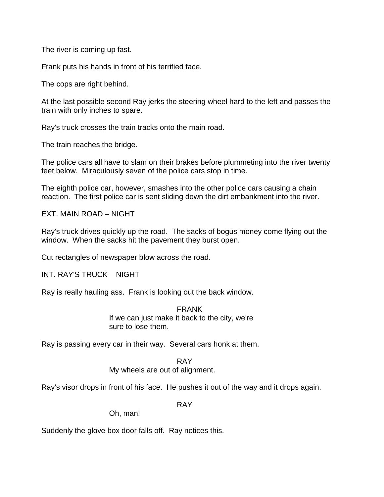The river is coming up fast.

Frank puts his hands in front of his terrified face.

The cops are right behind.

At the last possible second Ray jerks the steering wheel hard to the left and passes the train with only inches to spare.

Ray's truck crosses the train tracks onto the main road.

The train reaches the bridge.

The police cars all have to slam on their brakes before plummeting into the river twenty feet below. Miraculously seven of the police cars stop in time.

The eighth police car, however, smashes into the other police cars causing a chain reaction. The first police car is sent sliding down the dirt embankment into the river.

EXT. MAIN ROAD – NIGHT

Ray's truck drives quickly up the road. The sacks of bogus money come flying out the window. When the sacks hit the pavement they burst open.

Cut rectangles of newspaper blow across the road.

INT. RAY'S TRUCK – NIGHT

Ray is really hauling ass. Frank is looking out the back window.

FRANK

If we can just make it back to the city, we're sure to lose them.

Ray is passing every car in their way. Several cars honk at them.

RAY

My wheels are out of alignment.

Ray's visor drops in front of his face. He pushes it out of the way and it drops again.

RAY

Oh, man!

Suddenly the glove box door falls off. Ray notices this.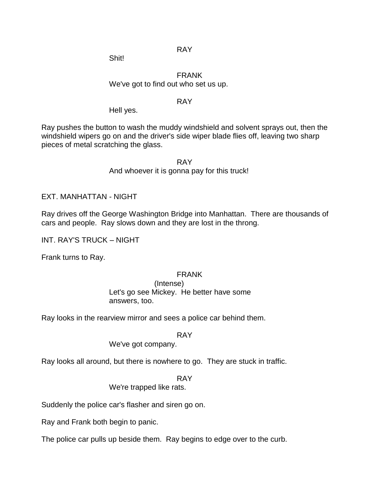RAY

Shit!

# FRANK We've got to find out who set us up.

# RAY

Hell yes.

Ray pushes the button to wash the muddy windshield and solvent sprays out, then the windshield wipers go on and the driver's side wiper blade flies off, leaving two sharp pieces of metal scratching the glass.

> RAY And whoever it is gonna pay for this truck!

EXT. MANHATTAN - NIGHT

Ray drives off the George Washington Bridge into Manhattan. There are thousands of cars and people. Ray slows down and they are lost in the throng.

INT. RAY'S TRUCK – NIGHT

Frank turns to Ray.

## FRANK

(Intense) Let's go see Mickey. He better have some answers, too.

Ray looks in the rearview mirror and sees a police car behind them.

RAY

We've got company.

Ray looks all around, but there is nowhere to go. They are stuck in traffic.

RAY

We're trapped like rats.

Suddenly the police car's flasher and siren go on.

Ray and Frank both begin to panic.

The police car pulls up beside them. Ray begins to edge over to the curb.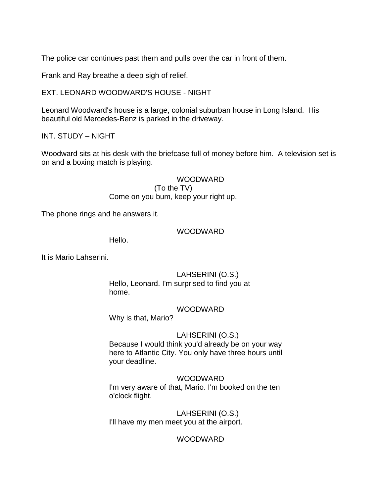The police car continues past them and pulls over the car in front of them.

Frank and Ray breathe a deep sigh of relief.

EXT. LEONARD WOODWARD'S HOUSE - NIGHT

Leonard Woodward's house is a large, colonial suburban house in Long Island. His beautiful old Mercedes-Benz is parked in the driveway.

INT. STUDY – NIGHT

Woodward sits at his desk with the briefcase full of money before him. A television set is on and a boxing match is playing.

> WOODWARD (To the TV) Come on you bum, keep your right up.

The phone rings and he answers it.

## WOODWARD

Hello.

It is Mario Lahserini.

# LAHSERINI (O.S.)

Hello, Leonard. I'm surprised to find you at home.

## WOODWARD

Why is that, Mario?

# LAHSERINI (O.S.)

Because I would think you'd already be on your way here to Atlantic City. You only have three hours until your deadline.

## WOODWARD

I'm very aware of that, Mario. I'm booked on the ten o'clock flight.

LAHSERINI (O.S.) I'll have my men meet you at the airport.

# WOODWARD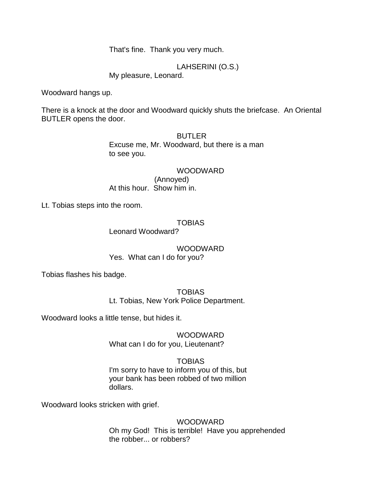That's fine. Thank you very much.

LAHSERINI (O.S.) My pleasure, Leonard.

Woodward hangs up.

There is a knock at the door and Woodward quickly shuts the briefcase. An Oriental BUTLER opens the door.

> BUTLER Excuse me, Mr. Woodward, but there is a man to see you.

WOODWARD (Annoyed) At this hour. Show him in.

Lt. Tobias steps into the room.

# TOBIAS

Leonard Woodward?

WOODWARD Yes. What can I do for you?

Tobias flashes his badge.

TOBIAS Lt. Tobias, New York Police Department.

Woodward looks a little tense, but hides it.

WOODWARD What can I do for you, Lieutenant?

# TOBIAS

I'm sorry to have to inform you of this, but your bank has been robbed of two million dollars.

Woodward looks stricken with grief.

# WOODWARD

Oh my God! This is terrible! Have you apprehended the robber... or robbers?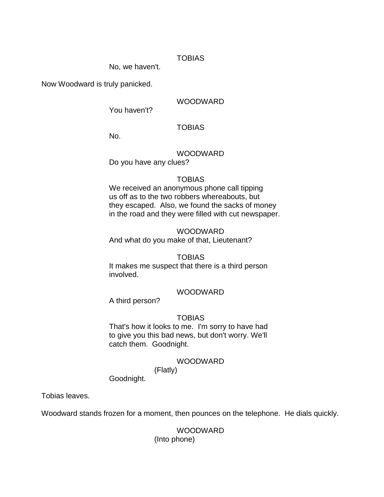# TOBIAS

No, we haven't.

Now Woodward is truly panicked.

# WOODWARD

You haven't?

# **TOBIAS**

No.

# WOODWARD

Do you have any clues?

## TOBIAS

We received an anonymous phone call tipping us off as to the two robbers whereabouts, but they escaped. Also, we found the sacks of money in the road and they were filled with cut newspaper.

## WOODWARD

And what do you make of that, Lieutenant?

## TOBIAS

It makes me suspect that there is a third person involved.

## WOODWARD

A third person?

# TOBIAS

That's how it looks to me. I'm sorry to have had to give you this bad news, but don't worry. We'll catch them. Goodnight.

## WOODWARD

(Flatly)

Goodnight.

Tobias leaves.

Woodward stands frozen for a moment, then pounces on the telephone. He dials quickly.

# WOODWARD

(Into phone)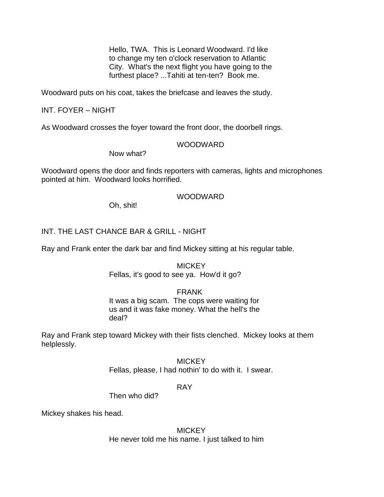Hello, TWA. This is Leonard Woodward. I'd like to change my ten o'clock reservation to Atlantic City. What's the next flight you have going to the furthest place? ...Tahiti at ten-ten? Book me.

Woodward puts on his coat, takes the briefcase and leaves the study.

# INT. FOYER – NIGHT

As Woodward crosses the foyer toward the front door, the doorbell rings.

# WOODWARD

Now what?

Woodward opens the door and finds reporters with cameras, lights and microphones pointed at him. Woodward looks horrified.

## WOODWARD

Oh, shit!

# INT. THE LAST CHANCE BAR & GRILL - NIGHT

Ray and Frank enter the dark bar and find Mickey sitting at his regular table.

# **MICKEY** Fellas, it's good to see ya. How'd it go?

# FRANK

It was a big scam. The cops were waiting for us and it was fake money. What the hell's the deal?

Ray and Frank step toward Mickey with their fists clenched. Mickey looks at them helplessly.

> **MICKEY** Fellas, please, I had nothin' to do with it. I swear.

## RAY

Then who did?

Mickey shakes his head.

# **MICKEY** He never told me his name. I just talked to him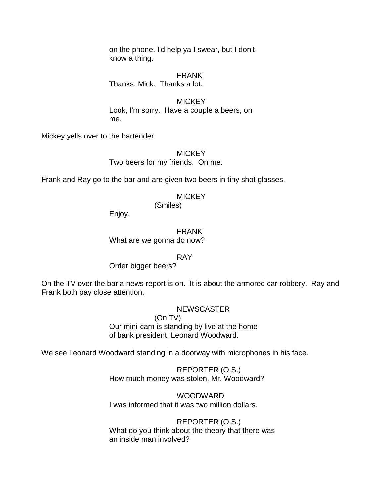on the phone. I'd help ya I swear, but I don't know a thing.

FRANK Thanks, Mick. Thanks a lot.

**MICKEY** Look, I'm sorry. Have a couple a beers, on me.

Mickey yells over to the bartender.

**MICKEY** 

Two beers for my friends. On me.

Frank and Ray go to the bar and are given two beers in tiny shot glasses.

**MICKEY** 

(Smiles)

Enjoy.

FRANK What are we gonna do now?

RAY

Order bigger beers?

On the TV over the bar a news report is on. It is about the armored car robbery. Ray and Frank both pay close attention.

# **NEWSCASTER**

(On TV)

Our mini-cam is standing by live at the home of bank president, Leonard Woodward.

We see Leonard Woodward standing in a doorway with microphones in his face.

REPORTER (O.S.) How much money was stolen, Mr. Woodward?

WOODWARD I was informed that it was two million dollars.

REPORTER (O.S.) What do you think about the theory that there was an inside man involved?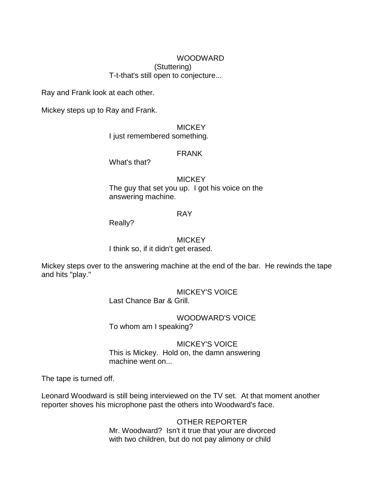## WOODWARD (Stuttering) T-t-that's still open to conjecture...

Ray and Frank look at each other.

Mickey steps up to Ray and Frank.

## **MICKEY**

I just remembered something.

## FRANK

What's that?

## **MICKEY**

The guy that set you up. I got his voice on the answering machine.

## RAY

Really?

# MICKEY I think so, if it didn't get erased.

Mickey steps over to the answering machine at the end of the bar. He rewinds the tape and hits "play."

> MICKEY'S VOICE Last Chance Bar & Grill.

WOODWARD'S VOICE To whom am I speaking?

MICKEY'S VOICE This is Mickey. Hold on, the damn answering machine went on...

The tape is turned off.

Leonard Woodward is still being interviewed on the TV set. At that moment another reporter shoves his microphone past the others into Woodward's face.

> OTHER REPORTER Mr. Woodward? Isn't it true that your are divorced with two children, but do not pay alimony or child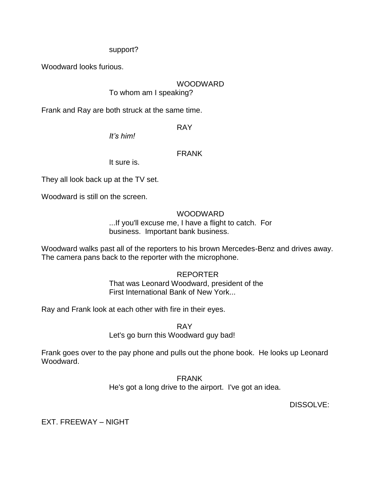# support?

Woodward looks furious.

# WOODWARD

To whom am I speaking?

Frank and Ray are both struck at the same time.

RAY

*It's him!*

# FRANK

It sure is.

They all look back up at the TV set.

Woodward is still on the screen.

# WOODWARD

...If you'll excuse me, I have a flight to catch. For business. Important bank business.

Woodward walks past all of the reporters to his brown Mercedes-Benz and drives away. The camera pans back to the reporter with the microphone.

# REPORTER

That was Leonard Woodward, president of the First International Bank of New York...

Ray and Frank look at each other with fire in their eyes.

RAY Let's go burn this Woodward guy bad!

Frank goes over to the pay phone and pulls out the phone book. He looks up Leonard Woodward.

> FRANK He's got a long drive to the airport. I've got an idea.

> > DISSOLVE:

EXT. FREEWAY – NIGHT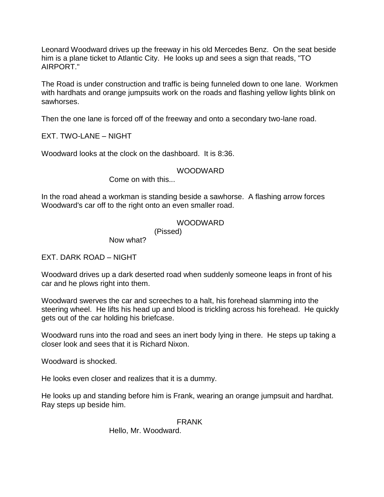Leonard Woodward drives up the freeway in his old Mercedes Benz. On the seat beside him is a plane ticket to Atlantic City. He looks up and sees a sign that reads, "TO AIRPORT."

The Road is under construction and traffic is being funneled down to one lane. Workmen with hardhats and orange jumpsuits work on the roads and flashing yellow lights blink on sawhorses.

Then the one lane is forced off of the freeway and onto a secondary two-lane road.

EXT. TWO-LANE – NIGHT

Woodward looks at the clock on the dashboard. It is 8:36.

# WOODWARD

Come on with this...

In the road ahead a workman is standing beside a sawhorse. A flashing arrow forces Woodward's car off to the right onto an even smaller road.

# WOODWARD

(Pissed)

Now what?

EXT. DARK ROAD – NIGHT

Woodward drives up a dark deserted road when suddenly someone leaps in front of his car and he plows right into them.

Woodward swerves the car and screeches to a halt, his forehead slamming into the steering wheel. He lifts his head up and blood is trickling across his forehead. He quickly gets out of the car holding his briefcase.

Woodward runs into the road and sees an inert body lying in there. He steps up taking a closer look and sees that it is Richard Nixon.

Woodward is shocked.

He looks even closer and realizes that it is a dummy.

He looks up and standing before him is Frank, wearing an orange jumpsuit and hardhat. Ray steps up beside him.

# FRANK

Hello, Mr. Woodward.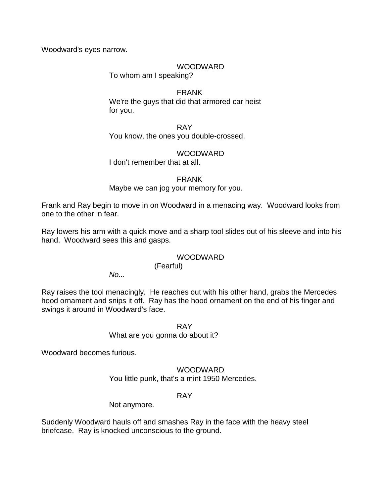Woodward's eyes narrow.

# WOODWARD

To whom am I speaking?

FRANK We're the guys that did that armored car heist for you.

RAY You know, the ones you double-crossed.

# WOODWARD

I don't remember that at all.

FRANK

# Maybe we can jog your memory for you.

Frank and Ray begin to move in on Woodward in a menacing way. Woodward looks from one to the other in fear.

Ray lowers his arm with a quick move and a sharp tool slides out of his sleeve and into his hand. Woodward sees this and gasps.

# **WOODWARD**

(Fearful)

*No...*

Ray raises the tool menacingly. He reaches out with his other hand, grabs the Mercedes hood ornament and snips it off. Ray has the hood ornament on the end of his finger and swings it around in Woodward's face.

RAY

What are you gonna do about it?

Woodward becomes furious.

WOODWARD You little punk, that's a mint 1950 Mercedes.

# RAY

Not anymore.

Suddenly Woodward hauls off and smashes Ray in the face with the heavy steel briefcase. Ray is knocked unconscious to the ground.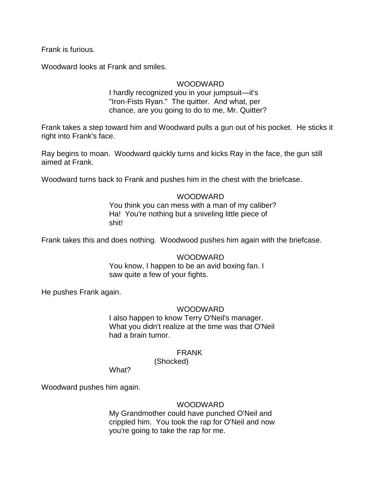Frank is furious.

Woodward looks at Frank and smiles.

# **WOODWARD**

I hardly recognized you in your jumpsuit—it's "Iron-Fists Ryan." The quitter. And what, per chance, are you going to do to me, Mr. Quitter?

Frank takes a step toward him and Woodward pulls a gun out of his pocket. He sticks it right into Frank's face.

Ray begins to moan. Woodward quickly turns and kicks Ray in the face, the gun still aimed at Frank.

Woodward turns back to Frank and pushes him in the chest with the briefcase.

# WOODWARD

You think you can mess with a man of my caliber? Ha! You're nothing but a sniveling little piece of shit!

Frank takes this and does nothing. Woodwood pushes him again with the briefcase.

## WOODWARD

You know, I happen to be an avid boxing fan. I saw quite a few of your fights.

He pushes Frank again.

## WOODWARD

I also happen to know Terry O'Neil's manager. What you didn't realize at the time was that O'Neil had a brain tumor.

## FRANK

(Shocked)

What?

Woodward pushes him again.

## WOODWARD

My Grandmother could have punched O'Neil and crippled him. You took the rap for O'Neil and now you're going to take the rap for me.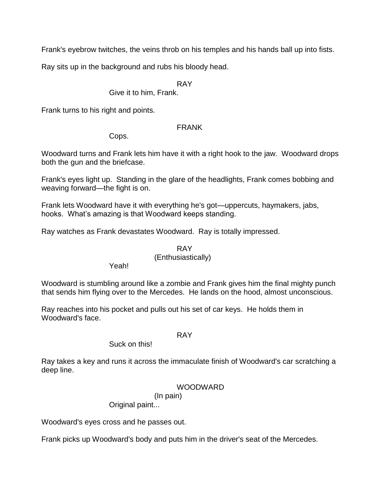Frank's eyebrow twitches, the veins throb on his temples and his hands ball up into fists.

Ray sits up in the background and rubs his bloody head.

# RAY

Give it to him, Frank.

Frank turns to his right and points.

# FRANK

Cops.

Woodward turns and Frank lets him have it with a right hook to the jaw. Woodward drops both the gun and the briefcase.

Frank's eyes light up. Standing in the glare of the headlights, Frank comes bobbing and weaving forward—the fight is on.

Frank lets Woodward have it with everything he's got—uppercuts, haymakers, jabs, hooks. What's amazing is that Woodward keeps standing.

Ray watches as Frank devastates Woodward. Ray is totally impressed.

#### RAY (Enthusiastically)

Yeah!

Woodward is stumbling around like a zombie and Frank gives him the final mighty punch that sends him flying over to the Mercedes. He lands on the hood, almost unconscious.

Ray reaches into his pocket and pulls out his set of car keys. He holds them in Woodward's face.

## RAY

# Suck on this!

Ray takes a key and runs it across the immaculate finish of Woodward's car scratching a deep line.

# WOODWARD

# (In pain)

Original paint...

Woodward's eyes cross and he passes out.

Frank picks up Woodward's body and puts him in the driver's seat of the Mercedes.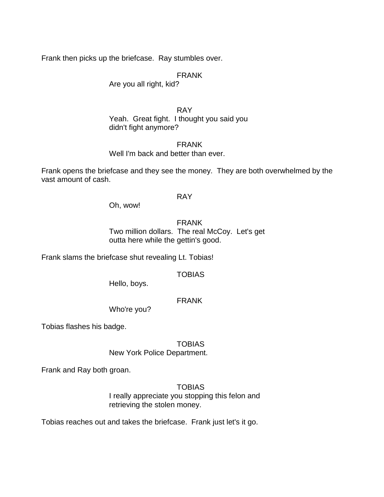Frank then picks up the briefcase. Ray stumbles over.

FRANK

Are you all right, kid?

RAY Yeah. Great fight. I thought you said you didn't fight anymore?

FRANK Well I'm back and better than ever.

Frank opens the briefcase and they see the money. They are both overwhelmed by the vast amount of cash.

## RAY

Oh, wow!

FRANK Two million dollars. The real McCoy. Let's get outta here while the gettin's good.

Frank slams the briefcase shut revealing Lt. Tobias!

**TOBIAS** 

Hello, boys.

FRANK

Who're you?

Tobias flashes his badge.

TOBIAS New York Police Department.

Frank and Ray both groan.

**TOBIAS** 

I really appreciate you stopping this felon and retrieving the stolen money.

Tobias reaches out and takes the briefcase. Frank just let's it go.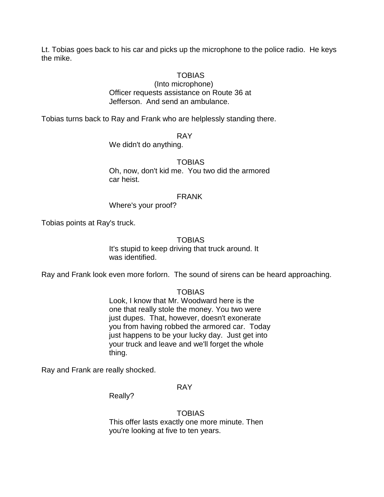Lt. Tobias goes back to his car and picks up the microphone to the police radio. He keys the mike.

#### TOBIAS

(Into microphone) Officer requests assistance on Route 36 at Jefferson. And send an ambulance.

Tobias turns back to Ray and Frank who are helplessly standing there.

#### RAY

We didn't do anything.

#### TOBIAS

Oh, now, don't kid me. You two did the armored car heist.

#### FRANK

Where's your proof?

Tobias points at Ray's truck.

#### **TOBIAS**

It's stupid to keep driving that truck around. It was identified.

Ray and Frank look even more forlorn. The sound of sirens can be heard approaching.

#### TOBIAS

Look, I know that Mr. Woodward here is the one that really stole the money. You two were just dupes. That, however, doesn't exonerate you from having robbed the armored car. Today just happens to be your lucky day. Just get into your truck and leave and we'll forget the whole thing.

Ray and Frank are really shocked.

## RAY

Really?

**TOBIAS** This offer lasts exactly one more minute. Then you're looking at five to ten years.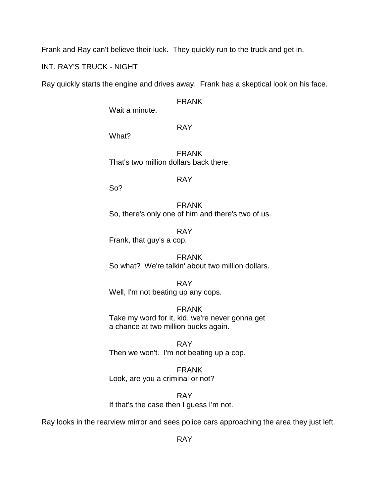Frank and Ray can't believe their luck. They quickly run to the truck and get in.

INT. RAY'S TRUCK - NIGHT

Ray quickly starts the engine and drives away. Frank has a skeptical look on his face.

FRANK

Wait a minute.

RAY

What?

FRANK That's two million dollars back there.

RAY

So?

FRANK So, there's only one of him and there's two of us.

RAY Frank, that guy's a cop.

FRANK So what? We're talkin' about two million dollars.

RAY Well, I'm not beating up any cops.

FRANK Take my word for it, kid, we're never gonna get a chance at two million bucks again.

RAY Then we won't. I'm not beating up a cop.

FRANK Look, are you a criminal or not?

RAY If that's the case then I guess I'm not.

Ray looks in the rearview mirror and sees police cars approaching the area they just left.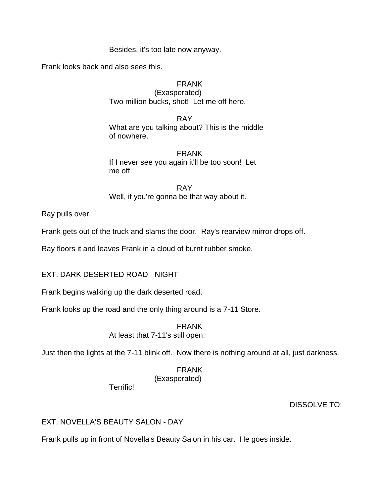Besides, it's too late now anyway.

Frank looks back and also sees this.

## FRANK

(Exasperated) Two million bucks, shot! Let me off here.

RAY What are you talking about? This is the middle of nowhere.

### FRANK If I never see you again it'll be too soon! Let me off.

RAY Well, if you're gonna be that way about it.

Ray pulls over.

Frank gets out of the truck and slams the door. Ray's rearview mirror drops off.

Ray floors it and leaves Frank in a cloud of burnt rubber smoke.

EXT. DARK DESERTED ROAD - NIGHT

Frank begins walking up the dark deserted road.

Frank looks up the road and the only thing around is a 7-11 Store.

FRANK At least that 7-11's still open.

Just then the lights at the 7-11 blink off. Now there is nothing around at all, just darkness.

FRANK (Exasperated)

Terrific!

# DISSOLVE TO:

# EXT. NOVELLA'S BEAUTY SALON - DAY

Frank pulls up in front of Novella's Beauty Salon in his car. He goes inside.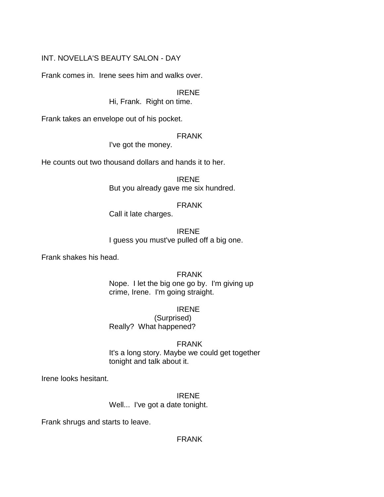# INT. NOVELLA'S BEAUTY SALON - DAY

Frank comes in. Irene sees him and walks over.

IRENE

Hi, Frank. Right on time.

Frank takes an envelope out of his pocket.

#### FRANK

I've got the money.

He counts out two thousand dollars and hands it to her.

IRENE But you already gave me six hundred.

#### FRANK

Call it late charges.

#### IRENE I guess you must've pulled off a big one.

Frank shakes his head.

## FRANK

Nope. I let the big one go by. I'm giving up crime, Irene. I'm going straight.

#### IRENE

(Surprised) Really? What happened?

## FRANK

It's a long story. Maybe we could get together tonight and talk about it.

Irene looks hesitant.

# IRENE

Well... I've got a date tonight.

Frank shrugs and starts to leave.

# FRANK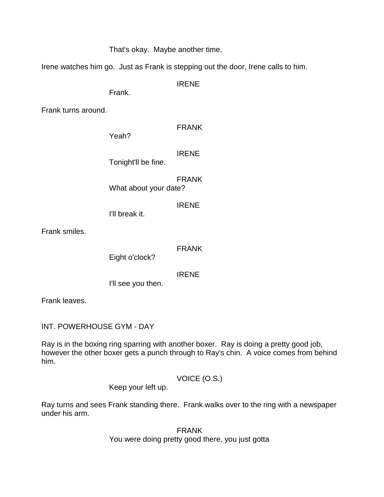That's okay. Maybe another time.

Irene watches him go. Just as Frank is stepping out the door, Irene calls to him.

IRENE

Frank.

Frank turns around.

FRANK

Yeah?

IRENE

Tonight'll be fine.

FRANK What about your date?

IRENE

I'll break it.

Frank smiles.

FRANK

Eight o'clock?

IRENE

I'll see you then.

Frank leaves.

INT. POWERHOUSE GYM - DAY

Ray is in the boxing ring sparring with another boxer. Ray is doing a pretty good job, however the other boxer gets a punch through to Ray's chin. A voice comes from behind him.

VOICE (O.S.)

Keep your left up.

Ray turns and sees Frank standing there. Frank walks over to the ring with a newspaper under his arm.

> FRANK You were doing pretty good there, you just gotta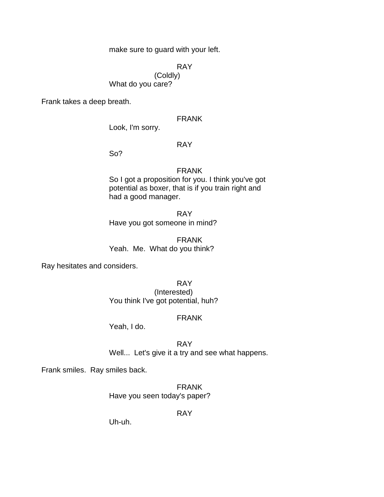make sure to guard with your left.

RAY

(Coldly) What do you care?

Frank takes a deep breath.

FRANK

Look, I'm sorry.

RAY

So?

#### FRANK

So I got a proposition for you. I think you've got potential as boxer, that is if you train right and had a good manager.

RAY Have you got someone in mind?

FRANK Yeah. Me. What do you think?

Ray hesitates and considers.

RAY (Interested) You think I've got potential, huh?

## FRANK

Yeah, I do.

RAY Well... Let's give it a try and see what happens.

Frank smiles. Ray smiles back.

FRANK Have you seen today's paper?

RAY

Uh-uh.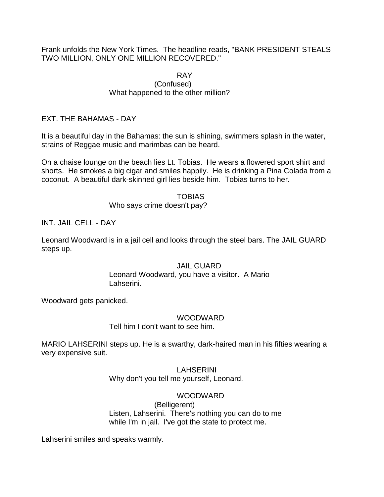Frank unfolds the New York Times. The headline reads, "BANK PRESIDENT STEALS TWO MILLION, ONLY ONE MILLION RECOVERED."

#### RAY (Confused) What happened to the other million?

# EXT. THE BAHAMAS - DAY

It is a beautiful day in the Bahamas: the sun is shining, swimmers splash in the water, strains of Reggae music and marimbas can be heard.

On a chaise lounge on the beach lies Lt. Tobias. He wears a flowered sport shirt and shorts. He smokes a big cigar and smiles happily. He is drinking a Pina Colada from a coconut. A beautiful dark-skinned girl lies beside him. Tobias turns to her.

#### **TOBIAS**

## Who says crime doesn't pay?

INT. JAIL CELL - DAY

Leonard Woodward is in a jail cell and looks through the steel bars. The JAIL GUARD steps up.

## JAIL GUARD

Leonard Woodward, you have a visitor. A Mario Lahserini.

Woodward gets panicked.

## WOODWARD

## Tell him I don't want to see him.

MARIO LAHSERINI steps up. He is a swarthy, dark-haired man in his fifties wearing a very expensive suit.

# LAHSERINI

Why don't you tell me yourself, Leonard.

# WOODWARD

(Belligerent) Listen, Lahserini. There's nothing you can do to me while I'm in jail. I've got the state to protect me.

Lahserini smiles and speaks warmly.